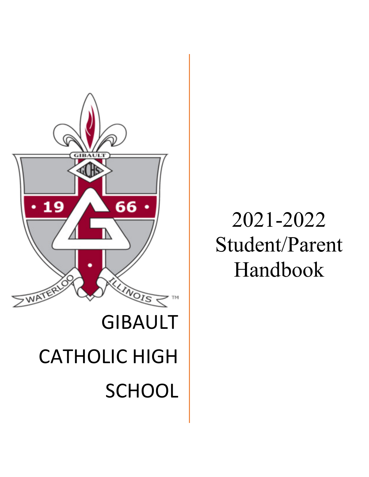

# 2021-2022 Student/Parent Handbook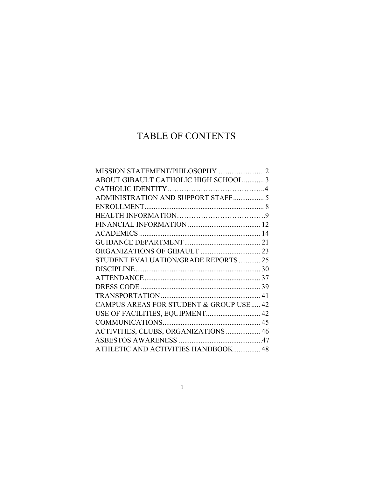# TABLE OF CONTENTS

| ABOUT GIBAULT CATHOLIC HIGH SCHOOL  3   |  |
|-----------------------------------------|--|
|                                         |  |
| ADMINISTRATION AND SUPPORT STAFF 5      |  |
|                                         |  |
|                                         |  |
|                                         |  |
|                                         |  |
|                                         |  |
|                                         |  |
| STUDENT EVALUATION/GRADE REPORTS 25     |  |
|                                         |  |
|                                         |  |
|                                         |  |
|                                         |  |
| CAMPUS AREAS FOR STUDENT & GROUP USE 42 |  |
| USE OF FACILITIES, EQUIPMENT 42         |  |
|                                         |  |
| ACTIVITIES, CLUBS, ORGANIZATIONS  46    |  |
|                                         |  |
| ATHLETIC AND ACTIVITIES HANDBOOK 48     |  |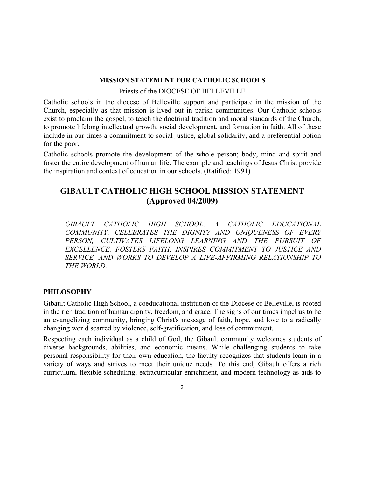#### **MISSION STATEMENT FOR CATHOLIC SCHOOLS**

Priests of the DIOCESE OF BELLEVILLE

Catholic schools in the diocese of Belleville support and participate in the mission of the Church, especially as that mission is lived out in parish communities. Our Catholic schools exist to proclaim the gospel, to teach the doctrinal tradition and moral standards of the Church, to promote lifelong intellectual growth, social development, and formation in faith. All of these include in our times a commitment to social justice, global solidarity, and a preferential option for the poor.

Catholic schools promote the development of the whole person; body, mind and spirit and foster the entire development of human life. The example and teachings of Jesus Christ provide the inspiration and context of education in our schools. (Ratified: 1991)

## **GIBAULT CATHOLIC HIGH SCHOOL MISSION STATEMENT (Approved 04/2009)**

*GIBAULT CATHOLIC HIGH SCHOOL, A CATHOLIC EDUCATIONAL COMMUNITY, CELEBRATES THE DIGNITY AND UNIQUENESS OF EVERY PERSON, CULTIVATES LIFELONG LEARNING AND THE PURSUIT OF EXCELLENCE, FOSTERS FAITH, INSPIRES COMMITMENT TO JUSTICE AND SERVICE, AND WORKS TO DEVELOP A LIFE-AFFIRMING RELATIONSHIP TO THE WORLD.*

## **PHILOSOPHY**

Gibault Catholic High School, a coeducational institution of the Diocese of Belleville, is rooted in the rich tradition of human dignity, freedom, and grace. The signs of our times impel us to be an evangelizing community, bringing Christ's message of faith, hope, and love to a radically changing world scarred by violence, self-gratification, and loss of commitment.

Respecting each individual as a child of God, the Gibault community welcomes students of diverse backgrounds, abilities, and economic means. While challenging students to take personal responsibility for their own education, the faculty recognizes that students learn in a variety of ways and strives to meet their unique needs. To this end, Gibault offers a rich curriculum, flexible scheduling, extracurricular enrichment, and modern technology as aids to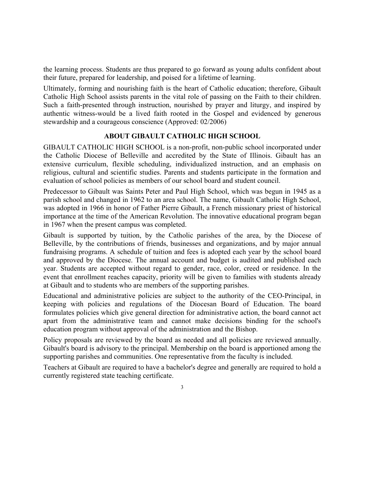the learning process. Students are thus prepared to go forward as young adults confident about their future, prepared for leadership, and poised for a lifetime of learning.

Ultimately, forming and nourishing faith is the heart of Catholic education; therefore, Gibault Catholic High School assists parents in the vital role of passing on the Faith to their children. Such a faith-presented through instruction, nourished by prayer and liturgy, and inspired by authentic witness-would be a lived faith rooted in the Gospel and evidenced by generous stewardship and a courageous conscience (Approved: 02/2006)

## **ABOUT GIBAULT CATHOLIC HIGH SCHOOL**

GIBAULT CATHOLIC HIGH SCHOOL is a non-profit, non-public school incorporated under the Catholic Diocese of Belleville and accredited by the State of Illinois. Gibault has an extensive curriculum, flexible scheduling, individualized instruction, and an emphasis on religious, cultural and scientific studies. Parents and students participate in the formation and evaluation of school policies as members of our school board and student council.

Predecessor to Gibault was Saints Peter and Paul High School, which was begun in 1945 as a parish school and changed in 1962 to an area school. The name, Gibault Catholic High School, was adopted in 1966 in honor of Father Pierre Gibault, a French missionary priest of historical importance at the time of the American Revolution. The innovative educational program began in 1967 when the present campus was completed.

Gibault is supported by tuition, by the Catholic parishes of the area, by the Diocese of Belleville, by the contributions of friends, businesses and organizations, and by major annual fundraising programs. A schedule of tuition and fees is adopted each year by the school board and approved by the Diocese. The annual account and budget is audited and published each year. Students are accepted without regard to gender, race, color, creed or residence. In the event that enrollment reaches capacity, priority will be given to families with students already at Gibault and to students who are members of the supporting parishes.

Educational and administrative policies are subject to the authority of the CEO-Principal, in keeping with policies and regulations of the Diocesan Board of Education. The board formulates policies which give general direction for administrative action, the board cannot act apart from the administrative team and cannot make decisions binding for the school's education program without approval of the administration and the Bishop.

Policy proposals are reviewed by the board as needed and all policies are reviewed annually. Gibault's board is advisory to the principal. Membership on the board is apportioned among the supporting parishes and communities. One representative from the faculty is included.

Teachers at Gibault are required to have a bachelor's degree and generally are required to hold a currently registered state teaching certificate.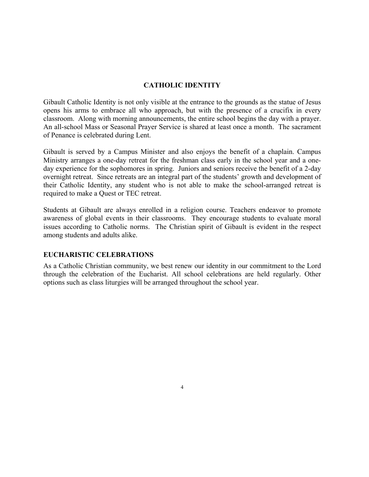#### **CATHOLIC IDENTITY**

Gibault Catholic Identity is not only visible at the entrance to the grounds as the statue of Jesus opens his arms to embrace all who approach, but with the presence of a crucifix in every classroom. Along with morning announcements, the entire school begins the day with a prayer. An all-school Mass or Seasonal Prayer Service is shared at least once a month. The sacrament of Penance is celebrated during Lent.

Gibault is served by a Campus Minister and also enjoys the benefit of a chaplain. Campus Ministry arranges a one-day retreat for the freshman class early in the school year and a oneday experience for the sophomores in spring. Juniors and seniors receive the benefit of a 2-day overnight retreat. Since retreats are an integral part of the students' growth and development of their Catholic Identity, any student who is not able to make the school-arranged retreat is required to make a Quest or TEC retreat.

Students at Gibault are always enrolled in a religion course. Teachers endeavor to promote awareness of global events in their classrooms. They encourage students to evaluate moral issues according to Catholic norms. The Christian spirit of Gibault is evident in the respect among students and adults alike.

#### **EUCHARISTIC CELEBRATIONS**

As a Catholic Christian community, we best renew our identity in our commitment to the Lord through the celebration of the Eucharist. All school celebrations are held regularly. Other options such as class liturgies will be arranged throughout the school year.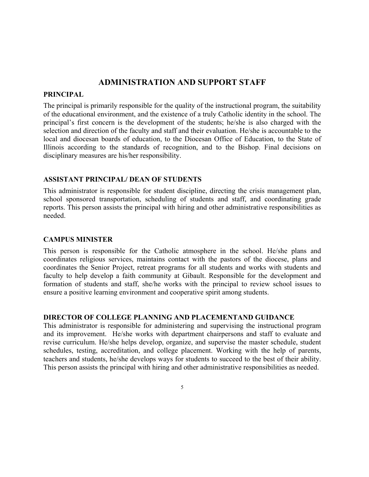## **ADMINISTRATION AND SUPPORT STAFF**

#### **PRINCIPAL**

The principal is primarily responsible for the quality of the instructional program, the suitability of the educational environment, and the existence of a truly Catholic identity in the school. The principal's first concern is the development of the students; he/she is also charged with the selection and direction of the faculty and staff and their evaluation. He/she is accountable to the local and diocesan boards of education, to the Diocesan Office of Education, to the State of Illinois according to the standards of recognition, and to the Bishop. Final decisions on disciplinary measures are his/her responsibility.

#### **ASSISTANT PRINCIPAL/ DEAN OF STUDENTS**

This administrator is responsible for student discipline, directing the crisis management plan, school sponsored transportation, scheduling of students and staff, and coordinating grade reports. This person assists the principal with hiring and other administrative responsibilities as needed.

## **CAMPUS MINISTER**

This person is responsible for the Catholic atmosphere in the school. He/she plans and coordinates religious services, maintains contact with the pastors of the diocese, plans and coordinates the Senior Project, retreat programs for all students and works with students and faculty to help develop a faith community at Gibault. Responsible for the development and formation of students and staff, she/he works with the principal to review school issues to ensure a positive learning environment and cooperative spirit among students.

#### **DIRECTOR OF COLLEGE PLANNING AND PLACEMENTAND GUIDANCE**

This administrator is responsible for administering and supervising the instructional program and its improvement. He/she works with department chairpersons and staff to evaluate and revise curriculum. He/she helps develop, organize, and supervise the master schedule, student schedules, testing, accreditation, and college placement. Working with the help of parents, teachers and students, he/she develops ways for students to succeed to the best of their ability. This person assists the principal with hiring and other administrative responsibilities as needed.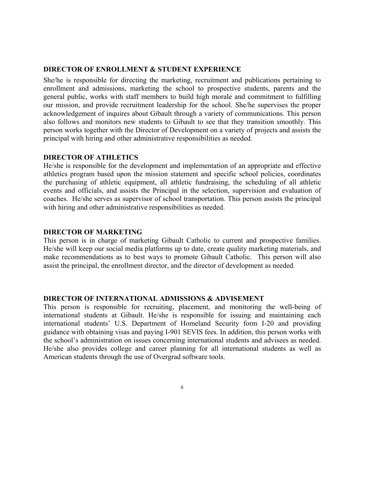## **DIRECTOR OF ENROLLMENT & STUDENT EXPERIENCE**

She/he is responsible for directing the marketing, recruitment and publications pertaining to enrollment and admissions, marketing the school to prospective students, parents and the general public, works with staff members to build high morale and commitment to fulfilling our mission, and provide recruitment leadership for the school. She/he supervises the proper acknowledgement of inquires about Gibault through a variety of communications. This person also follows and monitors new students to Gibault to see that they transition smoothly. This person works together with the Director of Development on a variety of projects and assists the principal with hiring and other administrative responsibilities as needed.

#### **DIRECTOR OF ATHLETICS**

He/she is responsible for the development and implementation of an appropriate and effective athletics program based upon the mission statement and specific school policies, coordinates the purchasing of athletic equipment, all athletic fundraising, the scheduling of all athletic events and officials, and assists the Principal in the selection, supervision and evaluation of coaches. He/she serves as supervisor of school transportation. This person assists the principal with hiring and other administrative responsibilities as needed.

#### **DIRECTOR OF MARKETING**

This person is in charge of marketing Gibault Catholic to current and prospective families. He/she will keep our social media platforms up to date, create quality marketing materials, and make recommendations as to best ways to promote Gibault Catholic. This person will also assist the principal, the enrollment director, and the director of development as needed.

#### **DIRECTOR OF INTERNATIONAL ADMISSIONS & ADVISEMENT**

This person is responsible for recruiting, placement, and monitoring the well-being of international students at Gibault. He/she is responsible for issuing and maintaining each international students' U.S. Department of Homeland Security form I-20 and providing guidance with obtaining visas and paying I-901 SEVIS fees. In addition, this person works with the school's administration on issues concerning international students and advisees as needed. He/she also provides college and career planning for all international students as well as American students through the use of Overgrad software tools.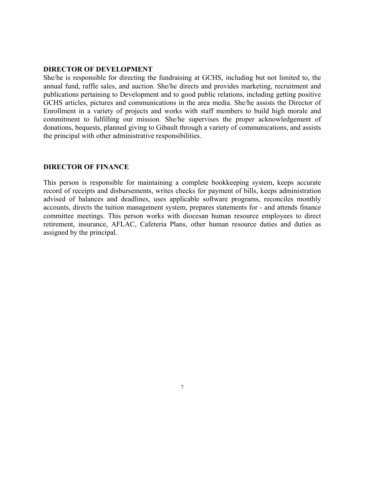#### **DIRECTOR OF DEVELOPMENT**

She/he is responsible for directing the fundraising at GCHS, including but not limited to, the annual fund, raffle sales, and auction. She/he directs and provides marketing, recruitment and publications pertaining to Development and to good public relations, including getting positive GCHS articles, pictures and communications in the area media. She/he assists the Director of Enrollment in a variety of projects and works with staff members to build high morale and commitment to fulfilling our mission. She/he supervises the proper acknowledgement of donations, bequests, planned giving to Gibault through a variety of communications, and assists the principal with other administrative responsibilities.

#### **DIRECTOR OF FINANCE**

This person is responsible for maintaining a complete bookkeeping system, keeps accurate record of receipts and disbursements, writes checks for payment of bills, keeps administration advised of balances and deadlines, uses applicable software programs, reconciles monthly accounts, directs the tuition management system, prepares statements for - and attends finance committee meetings. This person works with diocesan human resource employees to direct retirement, insurance, AFLAC, Cafeteria Plans, other human resource duties and duties as assigned by the principal.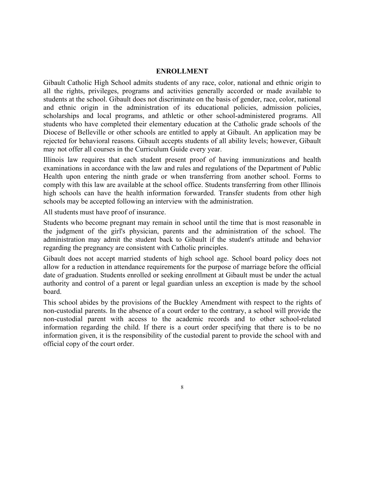#### **ENROLLMENT**

Gibault Catholic High School admits students of any race, color, national and ethnic origin to all the rights, privileges, programs and activities generally accorded or made available to students at the school. Gibault does not discriminate on the basis of gender, race, color, national and ethnic origin in the administration of its educational policies, admission policies, scholarships and local programs, and athletic or other school-administered programs. All students who have completed their elementary education at the Catholic grade schools of the Diocese of Belleville or other schools are entitled to apply at Gibault. An application may be rejected for behavioral reasons. Gibault accepts students of all ability levels; however, Gibault may not offer all courses in the Curriculum Guide every year.

Illinois law requires that each student present proof of having immunizations and health examinations in accordance with the law and rules and regulations of the Department of Public Health upon entering the ninth grade or when transferring from another school. Forms to comply with this law are available at the school office. Students transferring from other Illinois high schools can have the health information forwarded. Transfer students from other high schools may be accepted following an interview with the administration.

All students must have proof of insurance.

Students who become pregnant may remain in school until the time that is most reasonable in the judgment of the girl's physician, parents and the administration of the school. The administration may admit the student back to Gibault if the student's attitude and behavior regarding the pregnancy are consistent with Catholic principles.

Gibault does not accept married students of high school age. School board policy does not allow for a reduction in attendance requirements for the purpose of marriage before the official date of graduation. Students enrolled or seeking enrollment at Gibault must be under the actual authority and control of a parent or legal guardian unless an exception is made by the school board.

This school abides by the provisions of the Buckley Amendment with respect to the rights of non-custodial parents. In the absence of a court order to the contrary, a school will provide the non-custodial parent with access to the academic records and to other school-related information regarding the child. If there is a court order specifying that there is to be no information given, it is the responsibility of the custodial parent to provide the school with and official copy of the court order.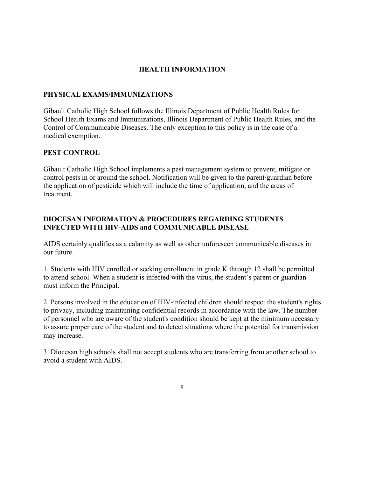## **HEALTH INFORMATION**

## **PHYSICAL EXAMS/IMMUNIZATIONS**

Gibault Catholic High School follows the Illinois Department of Public Health Rules for School Health Exams and Immunizations, Illinois Department of Public Health Rules, and the Control of Communicable Diseases. The only exception to this policy is in the case of a medical exemption.

## **PEST CONTROL**

Gibault Catholic High School implements a pest management system to prevent, mitigate or control pests in or around the school. Notification will be given to the parent/guardian before the application of pesticide which will include the time of application, and the areas of treatment.

## **DIOCESAN INFORMATION & PROCEDURES REGARDING STUDENTS INFECTED WITH HIV-AIDS and COMMUNICABLE DISEASE**

AIDS certainly qualifies as a calamity as well as other unforeseen communicable diseases in our future.

1. Students with HIV enrolled or seeking enrollment in grade K through 12 shall be permitted to attend school. When a student is infected with the virus, the student's parent or guardian must inform the Principal.

2. Persons involved in the education of HIV-infected children should respect the student's rights to privacy, including maintaining confidential records in accordance with the law. The number of personnel who are aware of the student's condition should be kept at the minimum necessary to assure proper care of the student and to detect situations where the potential for transmission may increase.

3. Diocesan high schools shall not accept students who are transferring from another school to avoid a student with AIDS.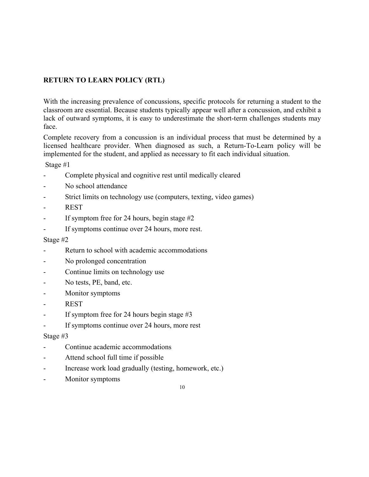## **RETURN TO LEARN POLICY (RTL)**

With the increasing prevalence of concussions, specific protocols for returning a student to the classroom are essential. Because students typically appear well after a concussion, and exhibit a lack of outward symptoms, it is easy to underestimate the short-term challenges students may face.

Complete recovery from a concussion is an individual process that must be determined by a licensed healthcare provider. When diagnosed as such, a Return-To-Learn policy will be implemented for the student, and applied as necessary to fit each individual situation.

Stage #1

- Complete physical and cognitive rest until medically cleared
- No school attendance
- Strict limits on technology use (computers, texting, video games)
- REST
- If symptom free for 24 hours, begin stage  $#2$
- If symptoms continue over 24 hours, more rest.

#### Stage #2

- Return to school with academic accommodations
- No prolonged concentration
- Continue limits on technology use
- No tests, PE, band, etc.
- Monitor symptoms
- **REST**
- If symptom free for 24 hours begin stage #3
- If symptoms continue over 24 hours, more rest

## Stage #3

- Continue academic accommodations
- Attend school full time if possible
- Increase work load gradually (testing, homework, etc.)
- Monitor symptoms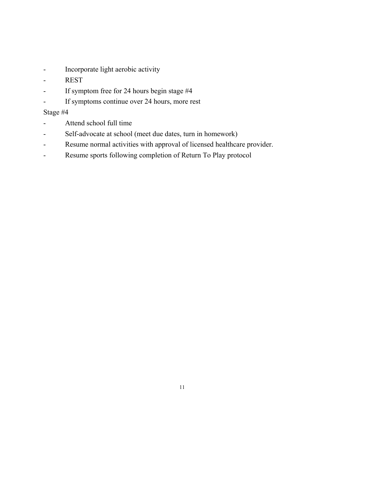- Incorporate light aerobic activity
- REST
- If symptom free for 24 hours begin stage #4
- If symptoms continue over 24 hours, more rest

## Stage #4

- Attend school full time
- Self-advocate at school (meet due dates, turn in homework)
- Resume normal activities with approval of licensed healthcare provider.
- Resume sports following completion of Return To Play protocol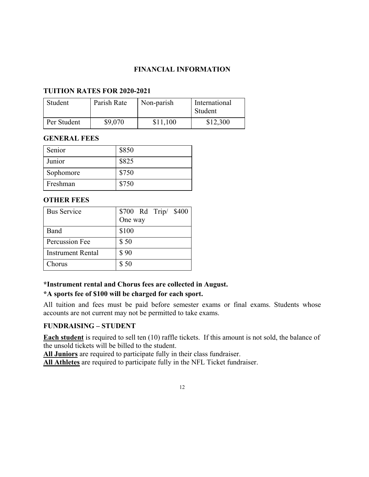## **FINANCIAL INFORMATION**

## **TUITION RATES FOR 2020-2021**

| Student     | Parish Rate | Non-parish | International<br>Student |
|-------------|-------------|------------|--------------------------|
| Per Student | \$9,070     | \$11,100   | \$12,300                 |

## **GENERAL FEES**

| Senior    | \$850 |
|-----------|-------|
| Junior    | \$825 |
| Sophomore | \$750 |
| Freshman  | \$750 |

## **OTHER FEES**

| <b>Bus Service</b>       | $$700$ Rd Trip/ $$400$ |
|--------------------------|------------------------|
|                          | One way                |
| Band                     | \$100                  |
| Percussion Fee           | \$50                   |
| <b>Instrument Rental</b> | \$90                   |
| `horus                   | \$50                   |

## **\*Instrument rental and Chorus fees are collected in August.**

## **\*A sports fee of \$100 will be charged for each sport.**

All tuition and fees must be paid before semester exams or final exams. Students whose accounts are not current may not be permitted to take exams.

## **FUNDRAISING – STUDENT**

**Each student** is required to sell ten (10) raffle tickets. If this amount is not sold, the balance of the unsold tickets will be billed to the student.

**All Juniors** are required to participate fully in their class fundraiser.

**All Athletes** are required to participate fully in the NFL Ticket fundraiser.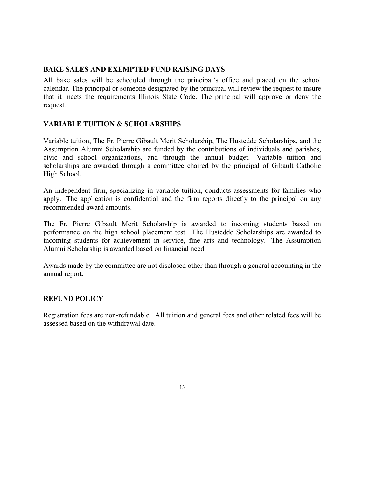## **BAKE SALES AND EXEMPTED FUND RAISING DAYS**

All bake sales will be scheduled through the principal's office and placed on the school calendar. The principal or someone designated by the principal will review the request to insure that it meets the requirements Illinois State Code. The principal will approve or deny the request.

## **VARIABLE TUITION & SCHOLARSHIPS**

Variable tuition, The Fr. Pierre Gibault Merit Scholarship, The Hustedde Scholarships, and the Assumption Alumni Scholarship are funded by the contributions of individuals and parishes, civic and school organizations, and through the annual budget. Variable tuition and scholarships are awarded through a committee chaired by the principal of Gibault Catholic High School.

An independent firm, specializing in variable tuition, conducts assessments for families who apply. The application is confidential and the firm reports directly to the principal on any recommended award amounts.

The Fr. Pierre Gibault Merit Scholarship is awarded to incoming students based on performance on the high school placement test. The Hustedde Scholarships are awarded to incoming students for achievement in service, fine arts and technology. The Assumption Alumni Scholarship is awarded based on financial need.

Awards made by the committee are not disclosed other than through a general accounting in the annual report.

## **REFUND POLICY**

Registration fees are non-refundable. All tuition and general fees and other related fees will be assessed based on the withdrawal date.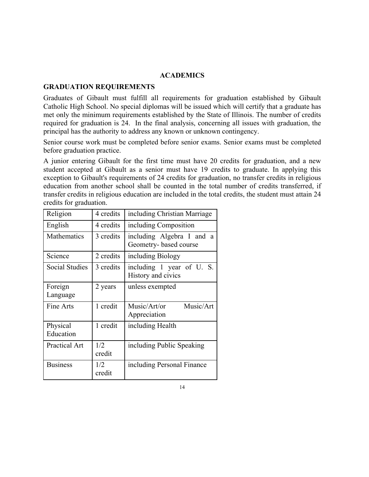#### **ACADEMICS**

#### **GRADUATION REQUIREMENTS**

Graduates of Gibault must fulfill all requirements for graduation established by Gibault Catholic High School. No special diplomas will be issued which will certify that a graduate has met only the minimum requirements established by the State of Illinois. The number of credits required for graduation is 24. In the final analysis, concerning all issues with graduation, the principal has the authority to address any known or unknown contingency.

Senior course work must be completed before senior exams. Senior exams must be completed before graduation practice.

A junior entering Gibault for the first time must have 20 credits for graduation, and a new student accepted at Gibault as a senior must have 19 credits to graduate. In applying this exception to Gibault's requirements of 24 credits for graduation, no transfer credits in religious education from another school shall be counted in the total number of credits transferred, if transfer credits in religious education are included in the total credits, the student must attain 24 credits for graduation.

| Religion              | 4 credits     | including Christian Marriage                        |
|-----------------------|---------------|-----------------------------------------------------|
| English               | 4 credits     | including Composition                               |
| Mathematics           | 3 credits     | including Algebra I and a<br>Geometry- based course |
| Science               | 2 credits     | including Biology                                   |
| Social Studies        | 3 credits     | including 1 year of U.S.<br>History and civics      |
| Foreign<br>Language   | 2 years       | unless exempted                                     |
| Fine Arts             | 1 credit      | Music/Art<br>Music/Art/or<br>Appreciation           |
| Physical<br>Education | 1 credit      | including Health                                    |
| Practical Art         | 1/2<br>credit | including Public Speaking                           |
| <b>Business</b>       | 1/2<br>credit | including Personal Finance                          |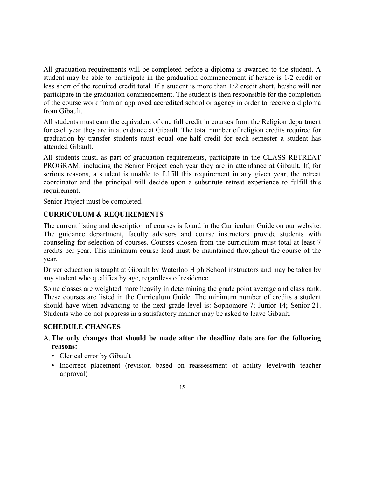All graduation requirements will be completed before a diploma is awarded to the student. A student may be able to participate in the graduation commencement if he/she is 1/2 credit or less short of the required credit total. If a student is more than 1/2 credit short, he/she will not participate in the graduation commencement. The student is then responsible for the completion of the course work from an approved accredited school or agency in order to receive a diploma from Gibault.

All students must earn the equivalent of one full credit in courses from the Religion department for each year they are in attendance at Gibault. The total number of religion credits required for graduation by transfer students must equal one-half credit for each semester a student has attended Gibault.

All students must, as part of graduation requirements, participate in the CLASS RETREAT PROGRAM, including the Senior Project each year they are in attendance at Gibault. If, for serious reasons, a student is unable to fulfill this requirement in any given year, the retreat coordinator and the principal will decide upon a substitute retreat experience to fulfill this requirement.

Senior Project must be completed.

## **CURRICULUM & REQUIREMENTS**

The current listing and description of courses is found in the Curriculum Guide on our website. The guidance department, faculty advisors and course instructors provide students with counseling for selection of courses. Courses chosen from the curriculum must total at least 7 credits per year. This minimum course load must be maintained throughout the course of the year.

Driver education is taught at Gibault by Waterloo High School instructors and may be taken by any student who qualifies by age, regardless of residence.

Some classes are weighted more heavily in determining the grade point average and class rank. These courses are listed in the Curriculum Guide. The minimum number of credits a student should have when advancing to the next grade level is: Sophomore-7; Junior-14; Senior-21. Students who do not progress in a satisfactory manner may be asked to leave Gibault.

## **SCHEDULE CHANGES**

- A.**The only changes that should be made after the deadline date are for the following reasons:**
	- Clerical error by Gibault
	- Incorrect placement (revision based on reassessment of ability level/with teacher approval)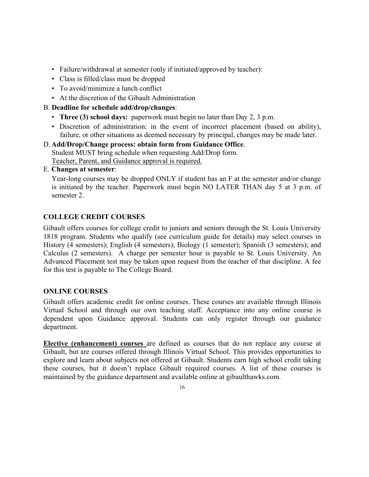- Failure/withdrawal at semester (only if initiated/approved by teacher):
- Class is filled/class must be dropped
- To avoid/minimize a lunch conflict
- At the discretion of the Gibault Administration

## B. **Deadline for schedule add/drop/changes**:

- **Three (3) school days:** paperwork must begin no later than Day 2, 3 p.m.
- Discretion of administration: in the event of incorrect placement (based on ability), failure, or other situations as deemed necessary by principal, changes may be made later.

## D. **Add/Drop/Change process: obtain form from Guidance Office**.

Student MUST bring schedule when requesting Add/Drop form.

Teacher, Parent, and Guidance approval is required.

## E. **Changes at semester**:

Year-long courses may be dropped ONLY if student has an F at the semester and/or change is initiated by the teacher. Paperwork must begin NO LATER THAN day 5 at 3 p.m. of semester 2.

## **COLLEGE CREDIT COURSES**

Gibault offers courses for college credit to juniors and seniors through the St. Louis University 1818 program. Students who qualify (see curriculum guide for details) may select courses in History (4 semesters); English (4 semesters); Biology (1 semester); Spanish (3 semesters); and Calculus (2 semesters). A charge per semester hour is payable to St. Louis University. An Advanced Placement test may be taken upon request from the teacher of that discipline. A fee for this test is payable to The College Board.

## **ONLINE COURSES**

Gibault offers academic credit for online courses. These courses are available through Illinois Virtual School and through our own teaching staff. Acceptance into any online course is dependent upon Guidance approval. Students can only register through our guidance department.

**Elective (enhancement) courses** are defined as courses that do not replace any course at Gibault, but are courses offered through Illinois Virtual School. This provides opportunities to explore and learn about subjects not offered at Gibault. Students earn high school credit taking these courses, but it doesn't replace Gibault required courses. A list of these courses is maintained by the guidance department and available online at gibaulthawks.com.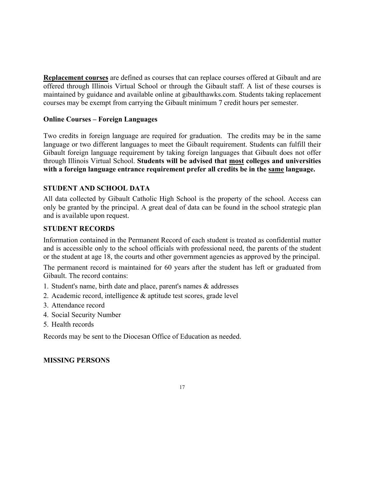**Replacement courses** are defined as courses that can replace courses offered at Gibault and are offered through Illinois Virtual School or through the Gibault staff. A list of these courses is maintained by guidance and available online at gibaulthawks.com. Students taking replacement courses may be exempt from carrying the Gibault minimum 7 credit hours per semester.

## **Online Courses – Foreign Languages**

Two credits in foreign language are required for graduation. The credits may be in the same language or two different languages to meet the Gibault requirement. Students can fulfill their Gibault foreign language requirement by taking foreign languages that Gibault does not offer through Illinois Virtual School. **Students will be advised that most colleges and universities with a foreign language entrance requirement prefer all credits be in the same language.**

## **STUDENT AND SCHOOL DATA**

All data collected by Gibault Catholic High School is the property of the school. Access can only be granted by the principal. A great deal of data can be found in the school strategic plan and is available upon request.

## **STUDENT RECORDS**

Information contained in the Permanent Record of each student is treated as confidential matter and is accessible only to the school officials with professional need, the parents of the student or the student at age 18, the courts and other government agencies as approved by the principal.

The permanent record is maintained for 60 years after the student has left or graduated from Gibault. The record contains:

- 1. Student's name, birth date and place, parent's names & addresses
- 2. Academic record, intelligence & aptitude test scores, grade level
- 3. Attendance record
- 4. Social Security Number
- 5. Health records

Records may be sent to the Diocesan Office of Education as needed.

## **MISSING PERSONS**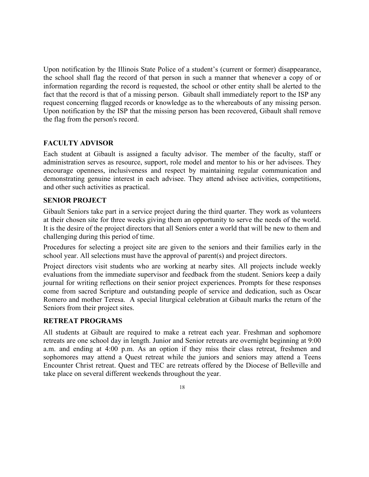Upon notification by the Illinois State Police of a student's (current or former) disappearance, the school shall flag the record of that person in such a manner that whenever a copy of or information regarding the record is requested, the school or other entity shall be alerted to the fact that the record is that of a missing person. Gibault shall immediately report to the ISP any request concerning flagged records or knowledge as to the whereabouts of any missing person. Upon notification by the ISP that the missing person has been recovered, Gibault shall remove the flag from the person's record.

## **FACULTY ADVISOR**

Each student at Gibault is assigned a faculty advisor. The member of the faculty, staff or administration serves as resource, support, role model and mentor to his or her advisees. They encourage openness, inclusiveness and respect by maintaining regular communication and demonstrating genuine interest in each advisee. They attend advisee activities, competitions, and other such activities as practical.

## **SENIOR PROJECT**

Gibault Seniors take part in a service project during the third quarter. They work as volunteers at their chosen site for three weeks giving them an opportunity to serve the needs of the world. It is the desire of the project directors that all Seniors enter a world that will be new to them and challenging during this period of time.

Procedures for selecting a project site are given to the seniors and their families early in the school year. All selections must have the approval of parent(s) and project directors.

Project directors visit students who are working at nearby sites. All projects include weekly evaluations from the immediate supervisor and feedback from the student. Seniors keep a daily journal for writing reflections on their senior project experiences. Prompts for these responses come from sacred Scripture and outstanding people of service and dedication, such as Oscar Romero and mother Teresa. A special liturgical celebration at Gibault marks the return of the Seniors from their project sites.

## **RETREAT PROGRAMS**

All students at Gibault are required to make a retreat each year. Freshman and sophomore retreats are one school day in length. Junior and Senior retreats are overnight beginning at 9:00 a.m. and ending at 4:00 p.m. As an option if they miss their class retreat, freshmen and sophomores may attend a Quest retreat while the juniors and seniors may attend a Teens Encounter Christ retreat. Quest and TEC are retreats offered by the Diocese of Belleville and take place on several different weekends throughout the year.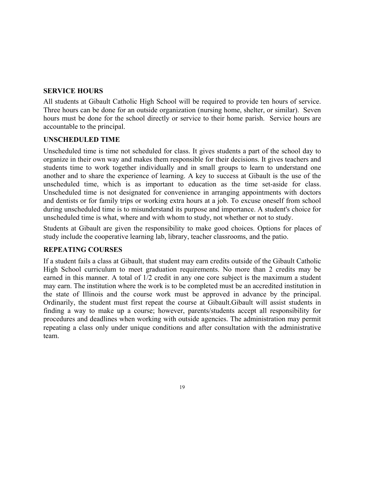#### **SERVICE HOURS**

All students at Gibault Catholic High School will be required to provide ten hours of service. Three hours can be done for an outside organization (nursing home, shelter, or similar). Seven hours must be done for the school directly or service to their home parish. Service hours are accountable to the principal.

## **UNSCHEDULED TIME**

Unscheduled time is time not scheduled for class. It gives students a part of the school day to organize in their own way and makes them responsible for their decisions. It gives teachers and students time to work together individually and in small groups to learn to understand one another and to share the experience of learning. A key to success at Gibault is the use of the unscheduled time, which is as important to education as the time set-aside for class. Unscheduled time is not designated for convenience in arranging appointments with doctors and dentists or for family trips or working extra hours at a job. To excuse oneself from school during unscheduled time is to misunderstand its purpose and importance. A student's choice for unscheduled time is what, where and with whom to study, not whether or not to study.

Students at Gibault are given the responsibility to make good choices. Options for places of study include the cooperative learning lab, library, teacher classrooms, and the patio.

## **REPEATING COURSES**

If a student fails a class at Gibault, that student may earn credits outside of the Gibault Catholic High School curriculum to meet graduation requirements. No more than 2 credits may be earned in this manner. A total of 1/2 credit in any one core subject is the maximum a student may earn. The institution where the work is to be completed must be an accredited institution in the state of Illinois and the course work must be approved in advance by the principal. Ordinarily, the student must first repeat the course at Gibault.Gibault will assist students in finding a way to make up a course; however, parents/students accept all responsibility for procedures and deadlines when working with outside agencies. The administration may permit repeating a class only under unique conditions and after consultation with the administrative team.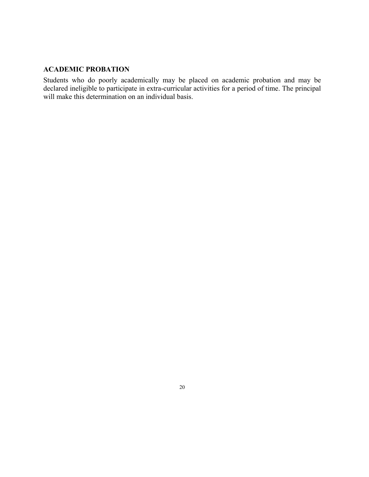#### **ACADEMIC PROBATION**

Students who do poorly academically may be placed on academic probation and may be declared ineligible to participate in extra-curricular activities for a period of time. The principal will make this determination on an individual basis.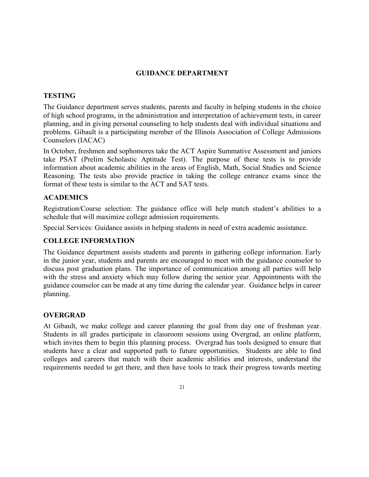## **GUIDANCE DEPARTMENT**

## **TESTING**

The Guidance department serves students, parents and faculty in helping students in the choice of high school programs, in the administration and interpretation of achievement tests, in career planning, and in giving personal counseling to help students deal with individual situations and problems. Gibault is a participating member of the Illinois Association of College Admissions Counselors (IACAC)

In October, freshmen and sophomores take the ACT Aspire Summative Assessment and juniors take PSAT (Prelim Scholastic Aptitude Test). The purpose of these tests is to provide information about academic abilities in the areas of English, Math, Social Studies and Science Reasoning. The tests also provide practice in taking the college entrance exams since the format of these tests is similar to the ACT and SAT tests.

## **ACADEMICS**

Registration/Course selection: The guidance office will help match student's abilities to a schedule that will maximize college admission requirements.

Special Services: Guidance assists in helping students in need of extra academic assistance.

## **COLLEGE INFORMATION**

The Guidance department assists students and parents in gathering college information. Early in the junior year, students and parents are encouraged to meet with the guidance counselor to discuss post graduation plans. The importance of communication among all parties will help with the stress and anxiety which may follow during the senior year. Appointments with the guidance counselor can be made at any time during the calendar year. Guidance helps in career planning.

## **OVERGRAD**

At Gibault, we make college and career planning the goal from day one of freshman year. Students in all grades participate in classroom sessions using Overgrad, an online platform, which invites them to begin this planning process. Overgrad has tools designed to ensure that students have a clear and supported path to future opportunities. Students are able to find colleges and careers that match with their academic abilities and interests, understand the requirements needed to get there, and then have tools to track their progress towards meeting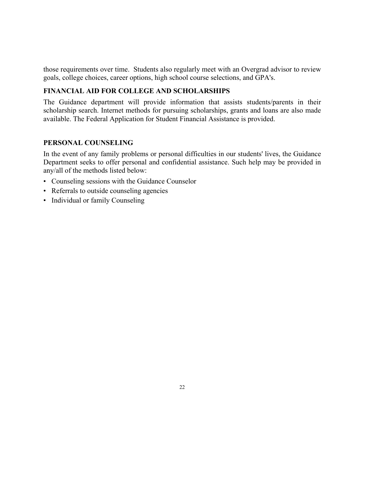those requirements over time. Students also regularly meet with an Overgrad advisor to review goals, college choices, career options, high school course selections, and GPA's.

## **FINANCIAL AID FOR COLLEGE AND SCHOLARSHIPS**

The Guidance department will provide information that assists students/parents in their scholarship search. Internet methods for pursuing scholarships, grants and loans are also made available. The Federal Application for Student Financial Assistance is provided.

## **PERSONAL COUNSELING**

In the event of any family problems or personal difficulties in our students' lives, the Guidance Department seeks to offer personal and confidential assistance. Such help may be provided in any/all of the methods listed below:

- Counseling sessions with the Guidance Counselor
- Referrals to outside counseling agencies
- Individual or family Counseling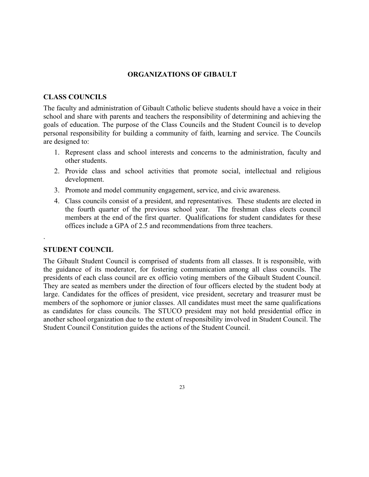## **ORGANIZATIONS OF GIBAULT**

#### **CLASS COUNCILS**

The faculty and administration of Gibault Catholic believe students should have a voice in their school and share with parents and teachers the responsibility of determining and achieving the goals of education. The purpose of the Class Councils and the Student Council is to develop personal responsibility for building a community of faith, learning and service. The Councils are designed to:

- 1. Represent class and school interests and concerns to the administration, faculty and other students.
- 2. Provide class and school activities that promote social, intellectual and religious development.
- 3. Promote and model community engagement, service, and civic awareness.
- 4. Class councils consist of a president, and representatives. These students are elected in the fourth quarter of the previous school year. The freshman class elects council members at the end of the first quarter. Qualifications for student candidates for these offices include a GPA of 2.5 and recommendations from three teachers.

#### **STUDENT COUNCIL**

.

The Gibault Student Council is comprised of students from all classes. It is responsible, with the guidance of its moderator, for fostering communication among all class councils. The presidents of each class council are ex officio voting members of the Gibault Student Council. They are seated as members under the direction of four officers elected by the student body at large. Candidates for the offices of president, vice president, secretary and treasurer must be members of the sophomore or junior classes. All candidates must meet the same qualifications as candidates for class councils. The STUCO president may not hold presidential office in another school organization due to the extent of responsibility involved in Student Council. The Student Council Constitution guides the actions of the Student Council.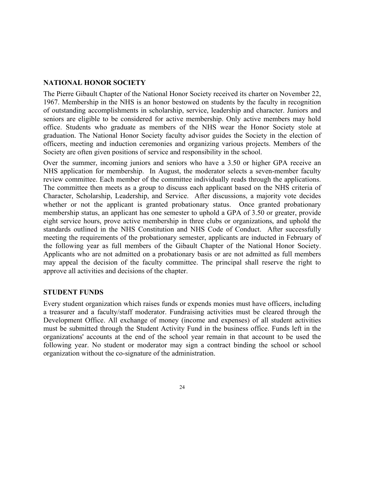#### **NATIONAL HONOR SOCIETY**

The Pierre Gibault Chapter of the National Honor Society received its charter on November 22, 1967. Membership in the NHS is an honor bestowed on students by the faculty in recognition of outstanding accomplishments in scholarship, service, leadership and character. Juniors and seniors are eligible to be considered for active membership. Only active members may hold office. Students who graduate as members of the NHS wear the Honor Society stole at graduation. The National Honor Society faculty advisor guides the Society in the election of officers, meeting and induction ceremonies and organizing various projects. Members of the Society are often given positions of service and responsibility in the school.

Over the summer, incoming juniors and seniors who have a 3.50 or higher GPA receive an NHS application for membership. In August, the moderator selects a seven-member faculty review committee. Each member of the committee individually reads through the applications. The committee then meets as a group to discuss each applicant based on the NHS criteria of Character, Scholarship, Leadership, and Service. After discussions, a majority vote decides whether or not the applicant is granted probationary status. Once granted probationary membership status, an applicant has one semester to uphold a GPA of 3.50 or greater, provide eight service hours, prove active membership in three clubs or organizations, and uphold the standards outlined in the NHS Constitution and NHS Code of Conduct. After successfully meeting the requirements of the probationary semester, applicants are inducted in February of the following year as full members of the Gibault Chapter of the National Honor Society. Applicants who are not admitted on a probationary basis or are not admitted as full members may appeal the decision of the faculty committee. The principal shall reserve the right to approve all activities and decisions of the chapter.

#### **STUDENT FUNDS**

Every student organization which raises funds or expends monies must have officers, including a treasurer and a faculty/staff moderator. Fundraising activities must be cleared through the Development Office. All exchange of money (income and expenses) of all student activities must be submitted through the Student Activity Fund in the business office. Funds left in the organizations' accounts at the end of the school year remain in that account to be used the following year. No student or moderator may sign a contract binding the school or school organization without the co-signature of the administration.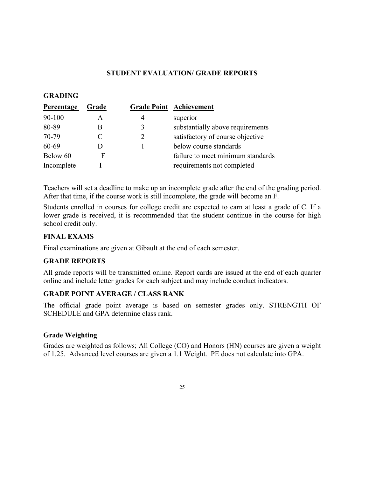## **STUDENT EVALUATION/ GRADE REPORTS**

#### **GRADING**

| <b>Percentage</b> | Grade |   | <b>Grade Point Achievement</b>    |
|-------------------|-------|---|-----------------------------------|
| 90-100            | A     |   | superior                          |
| 80-89             |       | 3 | substantially above requirements  |
| $70 - 79$         | C     |   | satisfactory of course objective  |
| 60-69             |       |   | below course standards            |
| Below 60          | F     |   | failure to meet minimum standards |
| Incomplete        |       |   | requirements not completed        |

Teachers will set a deadline to make up an incomplete grade after the end of the grading period. After that time, if the course work is still incomplete, the grade will become an F.

Students enrolled in courses for college credit are expected to earn at least a grade of C. If a lower grade is received, it is recommended that the student continue in the course for high school credit only.

#### **FINAL EXAMS**

Final examinations are given at Gibault at the end of each semester.

#### **GRADE REPORTS**

All grade reports will be transmitted online. Report cards are issued at the end of each quarter online and include letter grades for each subject and may include conduct indicators.

## **GRADE POINT AVERAGE / CLASS RANK**

The official grade point average is based on semester grades only. STRENGTH OF SCHEDULE and GPA determine class rank.

#### **Grade Weighting**

Grades are weighted as follows; All College (CO) and Honors (HN) courses are given a weight of 1.25. Advanced level courses are given a 1.1 Weight. PE does not calculate into GPA.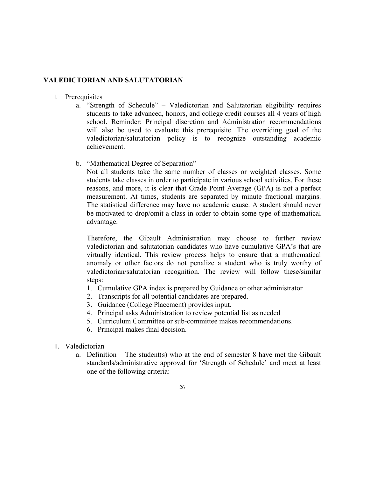## **VALEDICTORIAN AND SALUTATORIAN**

- I. Prerequisites
	- a. "Strength of Schedule" Valedictorian and Salutatorian eligibility requires students to take advanced, honors, and college credit courses all 4 years of high school. Reminder: Principal discretion and Administration recommendations will also be used to evaluate this prerequisite. The overriding goal of the valedictorian/salutatorian policy is to recognize outstanding academic achievement.
	- b. "Mathematical Degree of Separation"

Not all students take the same number of classes or weighted classes. Some students take classes in order to participate in various school activities. For these reasons, and more, it is clear that Grade Point Average (GPA) is not a perfect measurement. At times, students are separated by minute fractional margins. The statistical difference may have no academic cause. A student should never be motivated to drop/omit a class in order to obtain some type of mathematical advantage.

Therefore, the Gibault Administration may choose to further review valedictorian and salutatorian candidates who have cumulative GPA's that are virtually identical. This review process helps to ensure that a mathematical anomaly or other factors do not penalize a student who is truly worthy of valedictorian/salutatorian recognition. The review will follow these/similar steps:

- 1. Cumulative GPA index is prepared by Guidance or other administrator
- 2. Transcripts for all potential candidates are prepared.
- 3. Guidance (College Placement) provides input.
- 4. Principal asks Administration to review potential list as needed
- 5. Curriculum Committee or sub-committee makes recommendations.
- 6. Principal makes final decision.
- II. Valedictorian
	- a. Definition The student(s) who at the end of semester 8 have met the Gibault standards/administrative approval for 'Strength of Schedule' and meet at least one of the following criteria: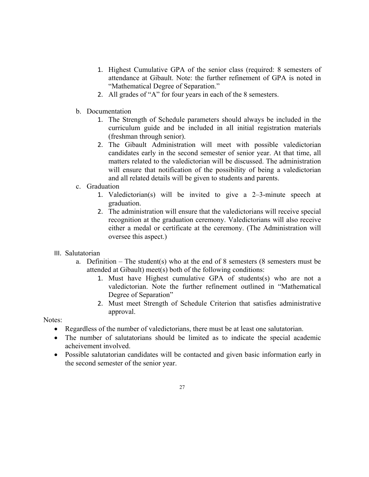- 1. Highest Cumulative GPA of the senior class (required: 8 semesters of attendance at Gibault. Note: the further refinement of GPA is noted in "Mathematical Degree of Separation."
- 2. All grades of "A" for four years in each of the 8 semesters.
- b. Documentation
	- 1. The Strength of Schedule parameters should always be included in the curriculum guide and be included in all initial registration materials (freshman through senior).
	- 2. The Gibault Administration will meet with possible valedictorian candidates early in the second semester of senior year. At that time, all matters related to the valedictorian will be discussed. The administration will ensure that notification of the possibility of being a valedictorian and all related details will be given to students and parents.
- c. Graduation
	- 1. Valedictorian(s) will be invited to give a 2–3-minute speech at graduation.
	- 2. The administration will ensure that the valedictorians will receive special recognition at the graduation ceremony. Valedictorians will also receive either a medal or certificate at the ceremony. (The Administration will oversee this aspect.)
- III. Salutatorian
	- a. Definition The student(s) who at the end of 8 semesters (8 semesters must be attended at Gibault) meet(s) both of the following conditions:
		- 1. Must have Highest cumulative GPA of students(s) who are not a valedictorian. Note the further refinement outlined in "Mathematical Degree of Separation"
		- 2. Must meet Strength of Schedule Criterion that satisfies administrative approval.

Notes:

- Regardless of the number of valedictorians, there must be at least one salutatorian.
- The number of salutatorians should be limited as to indicate the special academic acheivement involved.
- Possible salutatorian candidates will be contacted and given basic information early in the second semester of the senior year.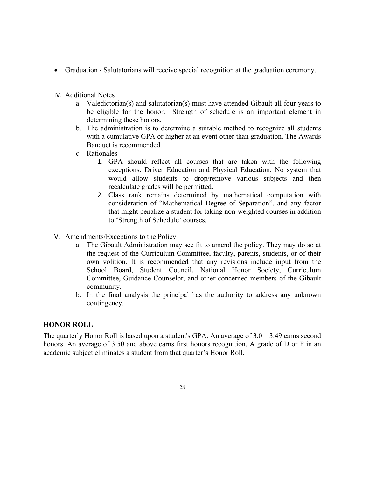- Graduation Salutatorians will receive special recognition at the graduation ceremony.
- IV. Additional Notes
	- a. Valedictorian(s) and salutatorian(s) must have attended Gibault all four years to be eligible for the honor. Strength of schedule is an important element in determining these honors.
	- b. The administration is to determine a suitable method to recognize all students with a cumulative GPA or higher at an event other than graduation. The Awards Banquet is recommended.
	- c. Rationales
		- 1. GPA should reflect all courses that are taken with the following exceptions: Driver Education and Physical Education. No system that would allow students to drop/remove various subjects and then recalculate grades will be permitted.
		- 2. Class rank remains determined by mathematical computation with consideration of "Mathematical Degree of Separation", and any factor that might penalize a student for taking non-weighted courses in addition to 'Strength of Schedule' courses.
- V. Amendments/Exceptions to the Policy
	- a. The Gibault Administration may see fit to amend the policy. They may do so at the request of the Curriculum Committee, faculty, parents, students, or of their own volition. It is recommended that any revisions include input from the School Board, Student Council, National Honor Society, Curriculum Committee, Guidance Counselor, and other concerned members of the Gibault community.
	- b. In the final analysis the principal has the authority to address any unknown contingency.

## **HONOR ROLL**

The quarterly Honor Roll is based upon a student's GPA. An average of 3.0—3.49 earns second honors. An average of 3.50 and above earns first honors recognition. A grade of D or F in an academic subject eliminates a student from that quarter's Honor Roll.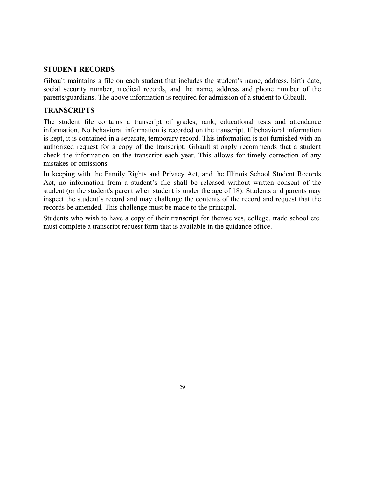## **STUDENT RECORDS**

Gibault maintains a file on each student that includes the student's name, address, birth date, social security number, medical records, and the name, address and phone number of the parents/guardians. The above information is required for admission of a student to Gibault.

#### **TRANSCRIPTS**

The student file contains a transcript of grades, rank, educational tests and attendance information. No behavioral information is recorded on the transcript. If behavioral information is kept, it is contained in a separate, temporary record. This information is not furnished with an authorized request for a copy of the transcript. Gibault strongly recommends that a student check the information on the transcript each year. This allows for timely correction of any mistakes or omissions.

In keeping with the Family Rights and Privacy Act, and the Illinois School Student Records Act, no information from a student's file shall be released without written consent of the student (or the student's parent when student is under the age of 18). Students and parents may inspect the student's record and may challenge the contents of the record and request that the records be amended. This challenge must be made to the principal.

Students who wish to have a copy of their transcript for themselves, college, trade school etc. must complete a transcript request form that is available in the guidance office.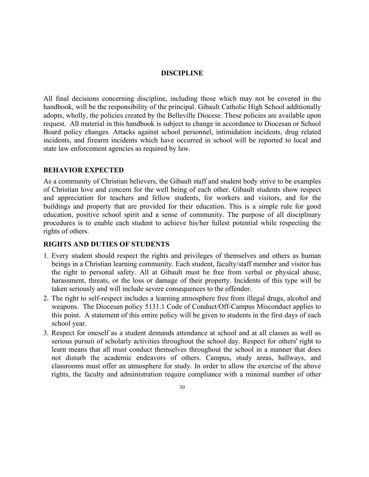#### **DISCIPLINE**

All final decisions concerning discipline, including those which may not be covered in the handbook, will be the responsibility of the principal. Gibault Catholic High School additionally adopts, wholly, the policies created by the Belleville Diocese. These policies are available upon request. All material in this handbook is subject to change in accordance to Diocesan or School Board policy changes. Attacks against school personnel, intimidation incidents, drug related incidents, and firearm incidents which have occurred in school will be reported to local and state law enforcement agencies as required by law.

#### **BEHAVIOR EXPECTED**

As a community of Christian believers, the Gibault staff and student body strive to be examples of Christian love and concern for the well being of each other. Gibault students show respect and appreciation for teachers and fellow students, for workers and visitors, and for the buildings and property that are provided for their education. This is a simple rule for good education, positive school spirit and a sense of community. The purpose of all disciplinary procedures is to enable each student to achieve his/her fullest potential while respecting the rights of others.

#### **RIGHTS AND DUTIES OF STUDENTS**

- 1. Every student should respect the rights and privileges of themselves and others as human beings in a Christian learning community. Each student, faculty/staff member and visitor has the right to personal safety. All at Gibault must be free from verbal or physical abuse, harassment, threats, or the loss or damage of their property. Incidents of this type will be taken seriously and will include severe consequences to the offender.
- 2. The right to self-respect includes a learning atmosphere free from illegal drugs, alcohol and weapons. The Diocesan policy 5131.1 Code of Conduct/Off-Campus Misconduct applies to this point. A statement of this entire policy will be given to students in the first days of each school year.
- 3. Respect for oneself as a student demands attendance at school and at all classes as well as serious pursuit of scholarly activities throughout the school day. Respect for others' right to learn means that all must conduct themselves throughout the school in a manner that does not disturb the academic endeavors of others. Campus, study areas, hallways, and classrooms must offer an atmosphere for study. In order to allow the exercise of the above rights, the faculty and administration require compliance with a minimal number of other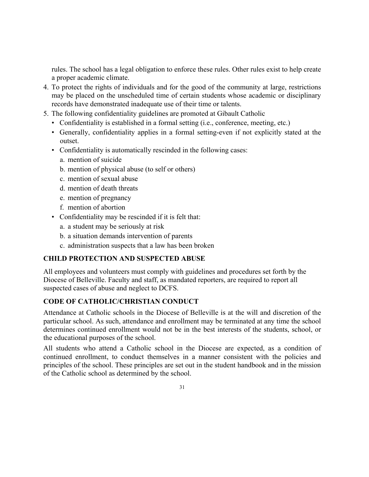rules. The school has a legal obligation to enforce these rules. Other rules exist to help create a proper academic climate.

- 4. To protect the rights of individuals and for the good of the community at large, restrictions may be placed on the unscheduled time of certain students whose academic or disciplinary records have demonstrated inadequate use of their time or talents.
- 5. The following confidentiality guidelines are promoted at Gibault Catholic
	- Confidentiality is established in a formal setting (i.e., conference, meeting, etc.)
	- Generally, confidentiality applies in a formal setting-even if not explicitly stated at the outset.
	- Confidentiality is automatically rescinded in the following cases:
		- a. mention of suicide
		- b. mention of physical abuse (to self or others)
		- c. mention of sexual abuse
		- d. mention of death threats
		- e. mention of pregnancy
		- f. mention of abortion
	- Confidentiality may be rescinded if it is felt that:
		- a. a student may be seriously at risk
		- b. a situation demands intervention of parents
		- c. administration suspects that a law has been broken

## **CHILD PROTECTION AND SUSPECTED ABUSE**

All employees and volunteers must comply with guidelines and procedures set forth by the Diocese of Belleville. Faculty and staff, as mandated reporters, are required to report all suspected cases of abuse and neglect to DCFS.

## **CODE OF CATHOLIC/CHRISTIAN CONDUCT**

Attendance at Catholic schools in the Diocese of Belleville is at the will and discretion of the particular school. As such, attendance and enrollment may be terminated at any time the school determines continued enrollment would not be in the best interests of the students, school, or the educational purposes of the school.

All students who attend a Catholic school in the Diocese are expected, as a condition of continued enrollment, to conduct themselves in a manner consistent with the policies and principles of the school. These principles are set out in the student handbook and in the mission of the Catholic school as determined by the school.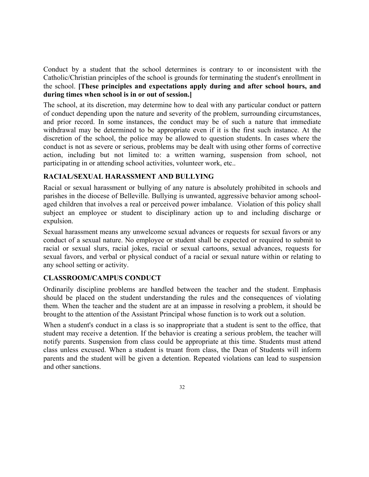Conduct by a student that the school determines is contrary to or inconsistent with the Catholic/Christian principles of the school is grounds for terminating the student's enrollment in the school. **[These principles and expectations apply during and after school hours, and during times when school is in or out of session.]** 

The school, at its discretion, may determine how to deal with any particular conduct or pattern of conduct depending upon the nature and severity of the problem, surrounding circumstances, and prior record. In some instances, the conduct may be of such a nature that immediate withdrawal may be determined to be appropriate even if it is the first such instance. At the discretion of the school, the police may be allowed to question students. In cases where the conduct is not as severe or serious, problems may be dealt with using other forms of corrective action, including but not limited to: a written warning, suspension from school, not participating in or attending school activities, volunteer work, etc..

## **RACIAL/SEXUAL HARASSMENT AND BULLYING**

Racial or sexual harassment or bullying of any nature is absolutely prohibited in schools and parishes in the diocese of Belleville. Bullying is unwanted, aggressive behavior among schoolaged children that involves a real or perceived power imbalance. Violation of this policy shall subject an employee or student to disciplinary action up to and including discharge or expulsion.

Sexual harassment means any unwelcome sexual advances or requests for sexual favors or any conduct of a sexual nature. No employee or student shall be expected or required to submit to racial or sexual slurs, racial jokes, racial or sexual cartoons, sexual advances, requests for sexual favors, and verbal or physical conduct of a racial or sexual nature within or relating to any school setting or activity.

## **CLASSROOM/CAMPUS CONDUCT**

Ordinarily discipline problems are handled between the teacher and the student. Emphasis should be placed on the student understanding the rules and the consequences of violating them. When the teacher and the student are at an impasse in resolving a problem, it should be brought to the attention of the Assistant Principal whose function is to work out a solution.

When a student's conduct in a class is so inappropriate that a student is sent to the office, that student may receive a detention. If the behavior is creating a serious problem, the teacher will notify parents. Suspension from class could be appropriate at this time. Students must attend class unless excused. When a student is truant from class, the Dean of Students will inform parents and the student will be given a detention. Repeated violations can lead to suspension and other sanctions.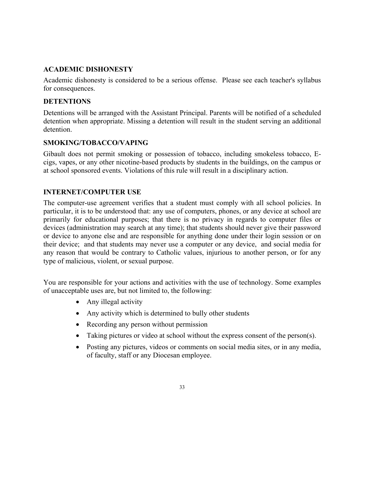## **ACADEMIC DISHONESTY**

Academic dishonesty is considered to be a serious offense. Please see each teacher's syllabus for consequences.

## **DETENTIONS**

Detentions will be arranged with the Assistant Principal. Parents will be notified of a scheduled detention when appropriate. Missing a detention will result in the student serving an additional detention.

## **SMOKING/TOBACCO/VAPING**

Gibault does not permit smoking or possession of tobacco, including smokeless tobacco, Ecigs, vapes, or any other nicotine-based products by students in the buildings, on the campus or at school sponsored events. Violations of this rule will result in a disciplinary action.

## **INTERNET/COMPUTER USE**

The computer-use agreement verifies that a student must comply with all school policies. In particular, it is to be understood that: any use of computers, phones, or any device at school are primarily for educational purposes; that there is no privacy in regards to computer files or devices (administration may search at any time); that students should never give their password or device to anyone else and are responsible for anything done under their login session or on their device; and that students may never use a computer or any device, and social media for any reason that would be contrary to Catholic values, injurious to another person, or for any type of malicious, violent, or sexual purpose.

You are responsible for your actions and activities with the use of technology. Some examples of unacceptable uses are, but not limited to, the following:

- Any illegal activity
- Any activity which is determined to bully other students
- Recording any person without permission
- Taking pictures or video at school without the express consent of the person(s).
- Posting any pictures, videos or comments on social media sites, or in any media, of faculty, staff or any Diocesan employee.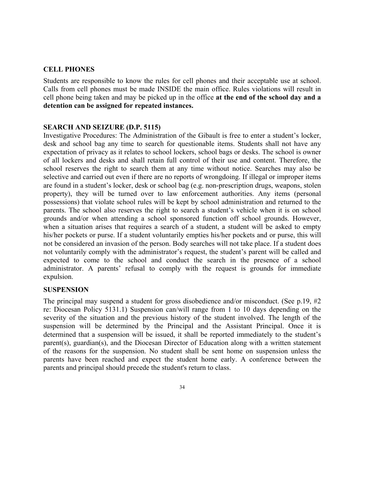#### **CELL PHONES**

Students are responsible to know the rules for cell phones and their acceptable use at school. Calls from cell phones must be made INSIDE the main office. Rules violations will result in cell phone being taken and may be picked up in the office **at the end of the school day and a detention can be assigned for repeated instances.** 

#### **SEARCH AND SEIZURE (D.P. 5115)**

Investigative Procedures: The Administration of the Gibault is free to enter a student's locker, desk and school bag any time to search for questionable items. Students shall not have any expectation of privacy as it relates to school lockers, school bags or desks. The school is owner of all lockers and desks and shall retain full control of their use and content. Therefore, the school reserves the right to search them at any time without notice. Searches may also be selective and carried out even if there are no reports of wrongdoing. If illegal or improper items are found in a student's locker, desk or school bag (e.g. non-prescription drugs, weapons, stolen property), they will be turned over to law enforcement authorities. Any items (personal possessions) that violate school rules will be kept by school administration and returned to the parents. The school also reserves the right to search a student's vehicle when it is on school grounds and/or when attending a school sponsored function off school grounds. However, when a situation arises that requires a search of a student, a student will be asked to empty his/her pockets or purse. If a student voluntarily empties his/her pockets and or purse, this will not be considered an invasion of the person. Body searches will not take place. If a student does not voluntarily comply with the administrator's request, the student's parent will be called and expected to come to the school and conduct the search in the presence of a school administrator. A parents' refusal to comply with the request is grounds for immediate expulsion.

#### **SUSPENSION**

The principal may suspend a student for gross disobedience and/or misconduct. (See p.19, #2 re: Diocesan Policy 5131.1) Suspension can/will range from 1 to 10 days depending on the severity of the situation and the previous history of the student involved. The length of the suspension will be determined by the Principal and the Assistant Principal. Once it is determined that a suspension will be issued, it shall be reported immediately to the student's parent(s), guardian(s), and the Diocesan Director of Education along with a written statement of the reasons for the suspension. No student shall be sent home on suspension unless the parents have been reached and expect the student home early. A conference between the parents and principal should precede the student's return to class.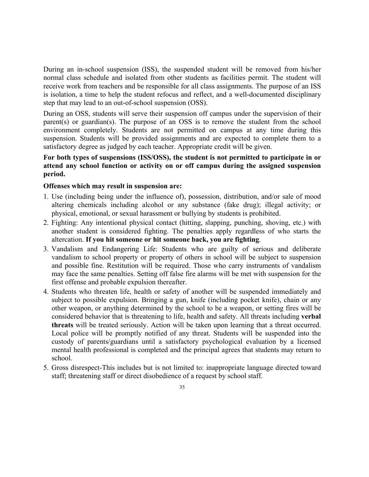During an in-school suspension (ISS), the suspended student will be removed from his/her normal class schedule and isolated from other students as facilities permit. The student will receive work from teachers and be responsible for all class assignments. The purpose of an ISS is isolation, a time to help the student refocus and reflect, and a well-documented disciplinary step that may lead to an out-of-school suspension (OSS).

During an OSS, students will serve their suspension off campus under the supervision of their parent(s) or guardian(s). The purpose of an OSS is to remove the student from the school environment completely. Students are not permitted on campus at any time during this suspension. Students will be provided assignments and are expected to complete them to a satisfactory degree as judged by each teacher. Appropriate credit will be given.

## **For both types of suspensions (ISS/OSS), the student is not permitted to participate in or attend any school function or activity on or off campus during the assigned suspension period.**

#### **Offenses which may result in suspension are:**

- 1. Use (including being under the influence of), possession, distribution, and/or sale of mood altering chemicals including alcohol or any substance (fake drug); illegal activity; or physical, emotional, or sexual harassment or bullying by students is prohibited.
- 2. Fighting: Any intentional physical contact (hitting, slapping, punching, shoving, etc.) with another student is considered fighting. The penalties apply regardless of who starts the altercation. **If you hit someone or hit someone back, you are fighting**.
- 3. Vandalism and Endangering Life: Students who are guilty of serious and deliberate vandalism to school property or property of others in school will be subject to suspension and possible fine. Restitution will be required. Those who carry instruments of vandalism may face the same penalties. Setting off false fire alarms will be met with suspension for the first offense and probable expulsion thereafter.
- 4. Students who threaten life, health or safety of another will be suspended immediately and subject to possible expulsion. Bringing a gun, knife (including pocket knife), chain or any other weapon, or anything determined by the school to be a weapon, or setting fires will be considered behavior that is threatening to life, health and safety. All threats including **verbal threats** will be treated seriously. Action will be taken upon learning that a threat occurred. Local police will be promptly notified of any threat. Students will be suspended into the custody of parents/guardians until a satisfactory psychological evaluation by a licensed mental health professional is completed and the principal agrees that students may return to school.
- 5. Gross disrespect-This includes but is not limited to: inappropriate language directed toward staff; threatening staff or direct disobedience of a request by school staff.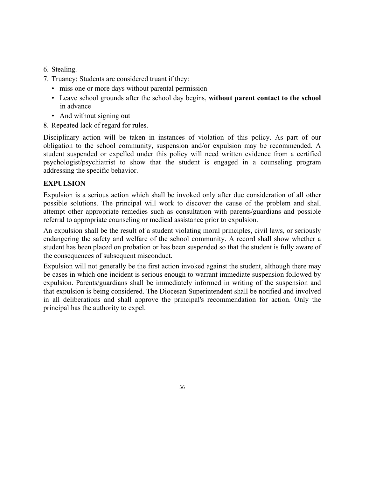- 6. Stealing.
- 7. Truancy: Students are considered truant if they:
	- miss one or more days without parental permission
	- Leave school grounds after the school day begins, **without parent contact to the school** in advance
	- And without signing out
- 8. Repeated lack of regard for rules.

Disciplinary action will be taken in instances of violation of this policy. As part of our obligation to the school community, suspension and/or expulsion may be recommended. A student suspended or expelled under this policy will need written evidence from a certified psychologist/psychiatrist to show that the student is engaged in a counseling program addressing the specific behavior.

## **EXPULSION**

Expulsion is a serious action which shall be invoked only after due consideration of all other possible solutions. The principal will work to discover the cause of the problem and shall attempt other appropriate remedies such as consultation with parents/guardians and possible referral to appropriate counseling or medical assistance prior to expulsion.

An expulsion shall be the result of a student violating moral principles, civil laws, or seriously endangering the safety and welfare of the school community. A record shall show whether a student has been placed on probation or has been suspended so that the student is fully aware of the consequences of subsequent misconduct.

Expulsion will not generally be the first action invoked against the student, although there may be cases in which one incident is serious enough to warrant immediate suspension followed by expulsion. Parents/guardians shall be immediately informed in writing of the suspension and that expulsion is being considered. The Diocesan Superintendent shall be notified and involved in all deliberations and shall approve the principal's recommendation for action. Only the principal has the authority to expel.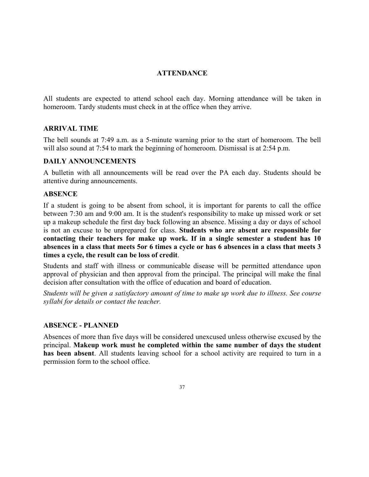#### **ATTENDANCE**

All students are expected to attend school each day. Morning attendance will be taken in homeroom. Tardy students must check in at the office when they arrive.

#### **ARRIVAL TIME**

The bell sounds at 7:49 a.m. as a 5-minute warning prior to the start of homeroom. The bell will also sound at 7:54 to mark the beginning of homeroom. Dismissal is at 2:54 p.m.

#### **DAILY ANNOUNCEMENTS**

A bulletin with all announcements will be read over the PA each day. Students should be attentive during announcements.

#### **ABSENCE**

If a student is going to be absent from school, it is important for parents to call the office between 7:30 am and 9:00 am. It is the student's responsibility to make up missed work or set up a makeup schedule the first day back following an absence. Missing a day or days of school is not an excuse to be unprepared for class. **Students who are absent are responsible for contacting their teachers for make up work. If in a single semester a student has 10 absences in a class that meets 5or 6 times a cycle or has 6 absences in a class that meets 3 times a cycle, the result can be loss of credit**.

Students and staff with illness or communicable disease will be permitted attendance upon approval of physician and then approval from the principal. The principal will make the final decision after consultation with the office of education and board of education.

*Students will be given a satisfactory amount of time to make up work due to illness. See course syllabi for details or contact the teacher.*

#### **ABSENCE - PLANNED**

Absences of more than five days will be considered unexcused unless otherwise excused by the principal. **Makeup work must he completed within the same number of days the student has been absent**. All students leaving school for a school activity are required to turn in a permission form to the school office.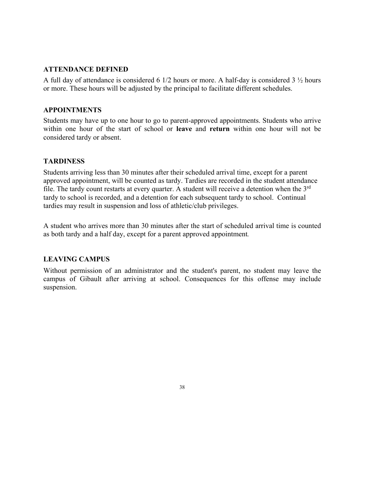## **ATTENDANCE DEFINED**

A full day of attendance is considered 6 1/2 hours or more. A half-day is considered 3 ½ hours or more. These hours will be adjusted by the principal to facilitate different schedules.

#### **APPOINTMENTS**

Students may have up to one hour to go to parent-approved appointments. Students who arrive within one hour of the start of school or **leave** and **return** within one hour will not be considered tardy or absent.

## **TARDINESS**

Students arriving less than 30 minutes after their scheduled arrival time, except for a parent approved appointment, will be counted as tardy. Tardies are recorded in the student attendance file. The tardy count restarts at every quarter. A student will receive a detention when the 3<sup>rd</sup> tardy to school is recorded, and a detention for each subsequent tardy to school. Continual tardies may result in suspension and loss of athletic/club privileges.

A student who arrives more than 30 minutes after the start of scheduled arrival time is counted as both tardy and a half day, except for a parent approved appointment*.* 

## **LEAVING CAMPUS**

Without permission of an administrator and the student's parent, no student may leave the campus of Gibault after arriving at school. Consequences for this offense may include suspension.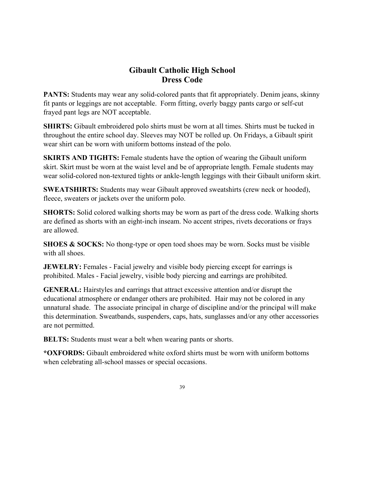# **Gibault Catholic High School Dress Code**

**PANTS:** Students may wear any solid-colored pants that fit appropriately. Denim jeans, skinny fit pants or leggings are not acceptable. Form fitting, overly baggy pants cargo or self-cut frayed pant legs are NOT acceptable.

**SHIRTS:** Gibault embroidered polo shirts must be worn at all times. Shirts must be tucked in throughout the entire school day. Sleeves may NOT be rolled up. On Fridays, a Gibault spirit wear shirt can be worn with uniform bottoms instead of the polo.

**SKIRTS AND TIGHTS:** Female students have the option of wearing the Gibault uniform skirt. Skirt must be worn at the waist level and be of appropriate length. Female students may wear solid-colored non-textured tights or ankle-length leggings with their Gibault uniform skirt.

**SWEATSHIRTS:** Students may wear Gibault approved sweatshirts (crew neck or hooded), fleece, sweaters or jackets over the uniform polo.

**SHORTS:** Solid colored walking shorts may be worn as part of the dress code. Walking shorts are defined as shorts with an eight-inch inseam. No accent stripes, rivets decorations or frays are allowed.

**SHOES & SOCKS:** No thong-type or open toed shoes may be worn. Socks must be visible with all shoes.

**JEWELRY:** Females - Facial jewelry and visible body piercing except for earrings is prohibited. Males - Facial jewelry, visible body piercing and earrings are prohibited.

**GENERAL:** Hairstyles and earrings that attract excessive attention and/or disrupt the educational atmosphere or endanger others are prohibited. Hair may not be colored in any unnatural shade. The associate principal in charge of discipline and/or the principal will make this determination. Sweatbands, suspenders, caps, hats, sunglasses and/or any other accessories are not permitted.

**BELTS:** Students must wear a belt when wearing pants or shorts.

**\*OXFORDS:** Gibault embroidered white oxford shirts must be worn with uniform bottoms when celebrating all-school masses or special occasions.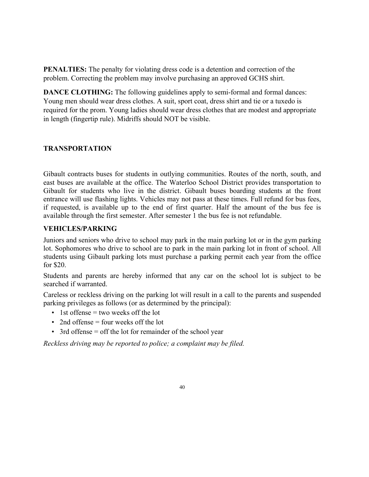**PENALTIES:** The penalty for violating dress code is a detention and correction of the problem. Correcting the problem may involve purchasing an approved GCHS shirt.

**DANCE CLOTHING:** The following guidelines apply to semi-formal and formal dances: Young men should wear dress clothes. A suit, sport coat, dress shirt and tie or a tuxedo is required for the prom. Young ladies should wear dress clothes that are modest and appropriate in length (fingertip rule). Midriffs should NOT be visible.

## **TRANSPORTATION**

Gibault contracts buses for students in outlying communities. Routes of the north, south, and east buses are available at the office. The Waterloo School District provides transportation to Gibault for students who live in the district. Gibault buses boarding students at the front entrance will use flashing lights. Vehicles may not pass at these times. Full refund for bus fees, if requested, is available up to the end of first quarter. Half the amount of the bus fee is available through the first semester. After semester 1 the bus fee is not refundable.

## **VEHICLES/PARKING**

Juniors and seniors who drive to school may park in the main parking lot or in the gym parking lot. Sophomores who drive to school are to park in the main parking lot in front of school. All students using Gibault parking lots must purchase a parking permit each year from the office for \$20.

Students and parents are hereby informed that any car on the school lot is subject to be searched if warranted.

Careless or reckless driving on the parking lot will result in a call to the parents and suspended parking privileges as follows (or as determined by the principal):

- $\bullet$  1st offense = two weeks off the lot
- 2nd offense  $=$  four weeks off the lot
- 3rd offense = off the lot for remainder of the school year

*Reckless driving may be reported to police; a complaint may be filed.*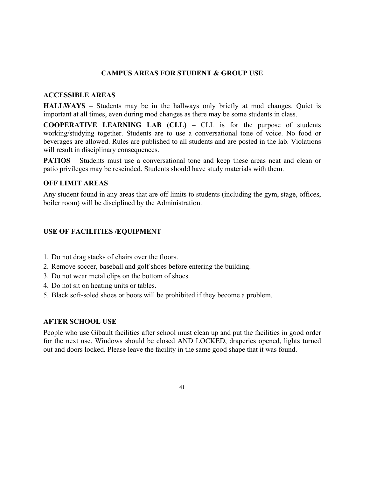## **CAMPUS AREAS FOR STUDENT & GROUP USE**

#### **ACCESSIBLE AREAS**

**HALLWAYS** – Students may be in the hallways only briefly at mod changes. Quiet is important at all times, even during mod changes as there may be some students in class.

**COOPERATIVE LEARNING LAB (CLL)** – CLL is for the purpose of students working/studying together. Students are to use a conversational tone of voice. No food or beverages are allowed. Rules are published to all students and are posted in the lab. Violations will result in disciplinary consequences.

**PATIOS** – Students must use a conversational tone and keep these areas neat and clean or patio privileges may be rescinded. Students should have study materials with them.

#### **OFF LIMIT AREAS**

Any student found in any areas that are off limits to students (including the gym, stage, offices, boiler room) will be disciplined by the Administration.

## **USE OF FACILITIES /EQUIPMENT**

- 1. Do not drag stacks of chairs over the floors.
- 2. Remove soccer, baseball and golf shoes before entering the building.
- 3. Do not wear metal clips on the bottom of shoes.
- 4. Do not sit on heating units or tables.
- 5. Black soft-soled shoes or boots will be prohibited if they become a problem.

## **AFTER SCHOOL USE**

People who use Gibault facilities after school must clean up and put the facilities in good order for the next use. Windows should be closed AND LOCKED, draperies opened, lights turned out and doors locked. Please leave the facility in the same good shape that it was found.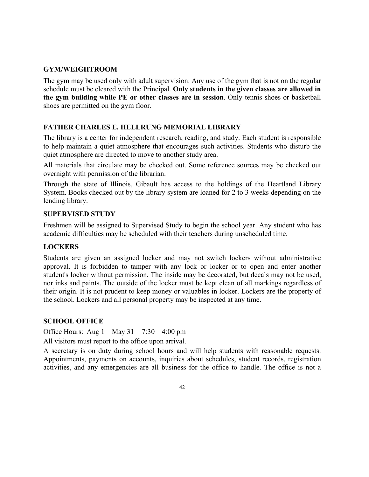## **GYM/WEIGHTROOM**

The gym may be used only with adult supervision. Any use of the gym that is not on the regular schedule must be cleared with the Principal. **Only students in the given classes are allowed in the gym building while PE or other classes are in session**. Only tennis shoes or basketball shoes are permitted on the gym floor.

## **FATHER CHARLES E. HELLRUNG MEMORIAL LIBRARY**

The library is a center for independent research, reading, and study. Each student is responsible to help maintain a quiet atmosphere that encourages such activities. Students who disturb the quiet atmosphere are directed to move to another study area.

All materials that circulate may be checked out. Some reference sources may be checked out overnight with permission of the librarian.

Through the state of Illinois, Gibault has access to the holdings of the Heartland Library System. Books checked out by the library system are loaned for 2 to 3 weeks depending on the lending library.

## **SUPERVISED STUDY**

Freshmen will be assigned to Supervised Study to begin the school year. Any student who has academic difficulties may be scheduled with their teachers during unscheduled time.

## **LOCKERS**

Students are given an assigned locker and may not switch lockers without administrative approval. It is forbidden to tamper with any lock or locker or to open and enter another student's locker without permission. The inside may be decorated, but decals may not be used, nor inks and paints. The outside of the locker must be kept clean of all markings regardless of their origin. It is not prudent to keep money or valuables in locker. Lockers are the property of the school. Lockers and all personal property may be inspected at any time.

## **SCHOOL OFFICE**

Office Hours: Aug  $1 -$ May  $31 = 7:30 - 4:00$  pm

All visitors must report to the office upon arrival.

A secretary is on duty during school hours and will help students with reasonable requests. Appointments, payments on accounts, inquiries about schedules, student records, registration activities, and any emergencies are all business for the office to handle. The office is not a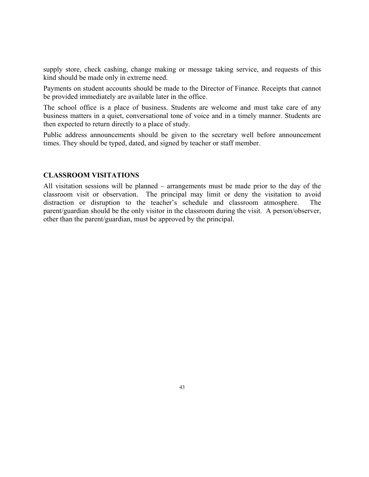supply store, check cashing, change making or message taking service, and requests of this kind should be made only in extreme need.

Payments on student accounts should be made to the Director of Finance. Receipts that cannot be provided immediately are available later in the office.

The school office is a place of business. Students are welcome and must take care of any business matters in a quiet, conversational tone of voice and in a timely manner. Students are then expected to return directly to a place of study.

Public address announcements should be given to the secretary well before announcement times. They should be typed, dated, and signed by teacher or staff member.

#### **CLASSROOM VISITATIONS**

All visitation sessions will be planned – arrangements must be made prior to the day of the classroom visit or observation. The principal may limit or deny the visitation to avoid distraction or disruption to the teacher's schedule and classroom atmosphere. The parent/guardian should be the only visitor in the classroom during the visit. A person/observer, other than the parent/guardian, must be approved by the principal.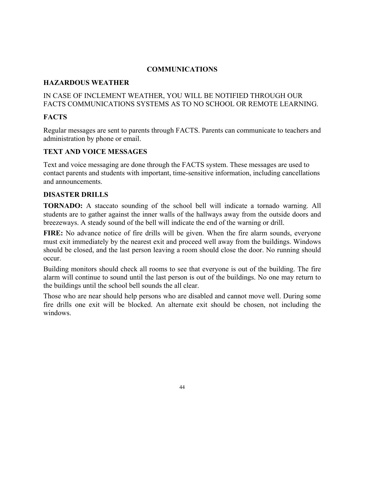## **COMMUNICATIONS**

## **HAZARDOUS WEATHER**

## IN CASE OF INCLEMENT WEATHER, YOU WILL BE NOTIFIED THROUGH OUR FACTS COMMUNICATIONS SYSTEMS AS TO NO SCHOOL OR REMOTE LEARNING.

## **FACTS**

Regular messages are sent to parents through FACTS. Parents can communicate to teachers and administration by phone or email.

## **TEXT AND VOICE MESSAGES**

Text and voice messaging are done through the FACTS system. These messages are used to contact parents and students with important, time-sensitive information, including cancellations and announcements.

## **DISASTER DRILLS**

**TORNADO:** A staccato sounding of the school bell will indicate a tornado warning. All students are to gather against the inner walls of the hallways away from the outside doors and breezeways. A steady sound of the bell will indicate the end of the warning or drill.

**FIRE:** No advance notice of fire drills will be given. When the fire alarm sounds, everyone must exit immediately by the nearest exit and proceed well away from the buildings. Windows should be closed, and the last person leaving a room should close the door. No running should occur.

Building monitors should check all rooms to see that everyone is out of the building. The fire alarm will continue to sound until the last person is out of the buildings. No one may return to the buildings until the school bell sounds the all clear.

Those who are near should help persons who are disabled and cannot move well. During some fire drills one exit will be blocked. An alternate exit should be chosen, not including the windows.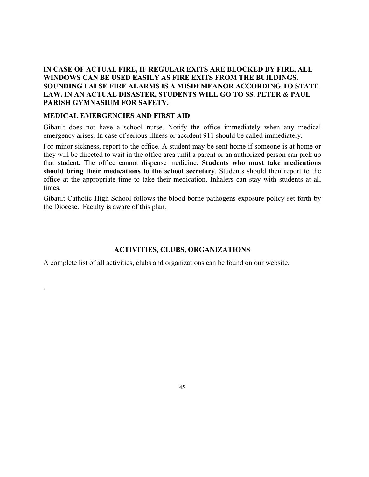## **IN CASE OF ACTUAL FIRE, IF REGULAR EXITS ARE BLOCKED BY FIRE, ALL WINDOWS CAN BE USED EASILY AS FIRE EXITS FROM THE BUILDINGS. SOUNDING FALSE FIRE ALARMS IS A MISDEMEANOR ACCORDING TO STATE LAW. IN AN ACTUAL DISASTER, STUDENTS WILL GO TO SS. PETER & PAUL PARISH GYMNASIUM FOR SAFETY.**

#### **MEDICAL EMERGENCIES AND FIRST AID**

.

Gibault does not have a school nurse. Notify the office immediately when any medical emergency arises. In case of serious illness or accident 911 should be called immediately.

For minor sickness, report to the office. A student may be sent home if someone is at home or they will be directed to wait in the office area until a parent or an authorized person can pick up that student. The office cannot dispense medicine. **Students who must take medications should bring their medications to the school secretary**. Students should then report to the office at the appropriate time to take their medication. Inhalers can stay with students at all times.

Gibault Catholic High School follows the blood borne pathogens exposure policy set forth by the Diocese. Faculty is aware of this plan.

## **ACTIVITIES, CLUBS, ORGANIZATIONS**

A complete list of all activities, clubs and organizations can be found on our website.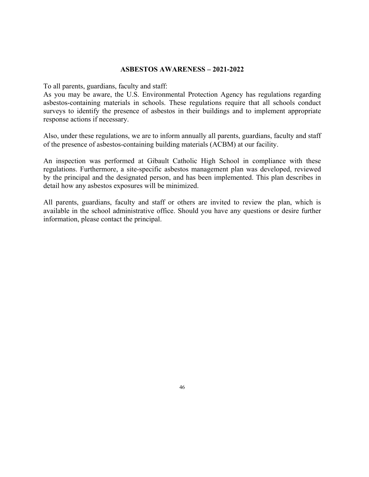#### **ASBESTOS AWARENESS – 2021-2022**

To all parents, guardians, faculty and staff:

As you may be aware, the U.S. Environmental Protection Agency has regulations regarding asbestos-containing materials in schools. These regulations require that all schools conduct surveys to identify the presence of asbestos in their buildings and to implement appropriate response actions if necessary.

Also, under these regulations, we are to inform annually all parents, guardians, faculty and staff of the presence of asbestos-containing building materials (ACBM) at our facility.

An inspection was performed at Gibault Catholic High School in compliance with these regulations. Furthermore, a site-specific asbestos management plan was developed, reviewed by the principal and the designated person, and has been implemented. This plan describes in detail how any asbestos exposures will be minimized.

All parents, guardians, faculty and staff or others are invited to review the plan, which is available in the school administrative office. Should you have any questions or desire further information, please contact the principal.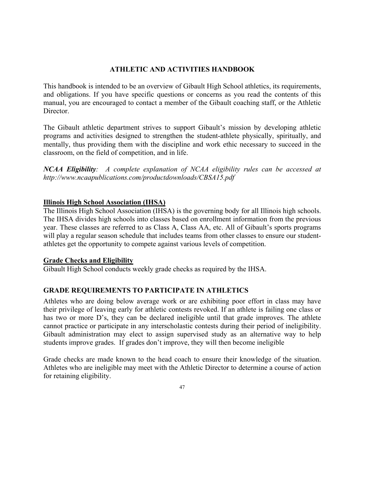## **ATHLETIC AND ACTIVITIES HANDBOOK**

This handbook is intended to be an overview of Gibault High School athletics, its requirements, and obligations. If you have specific questions or concerns as you read the contents of this manual, you are encouraged to contact a member of the Gibault coaching staff, or the Athletic Director.

The Gibault athletic department strives to support Gibault's mission by developing athletic programs and activities designed to strengthen the student-athlete physically, spiritually, and mentally, thus providing them with the discipline and work ethic necessary to succeed in the classroom, on the field of competition, and in life.

*NCAA Eligibility: A complete explanation of NCAA eligibility rules can be accessed at http://www.ncaapublications.com/productdownloads/CBSA15.pdf* 

## **Illinois High School Association (IHSA)**

The Illinois High School Association (IHSA) is the governing body for all Illinois high schools. The IHSA divides high schools into classes based on enrollment information from the previous year. These classes are referred to as Class A, Class AA, etc. All of Gibault's sports programs will play a regular season schedule that includes teams from other classes to ensure our studentathletes get the opportunity to compete against various levels of competition.

## **Grade Checks and Eligibility**

Gibault High School conducts weekly grade checks as required by the IHSA.

## **GRADE REQUIREMENTS TO PARTICIPATE IN ATHLETICS**

Athletes who are doing below average work or are exhibiting poor effort in class may have their privilege of leaving early for athletic contests revoked. If an athlete is failing one class or has two or more D's, they can be declared ineligible until that grade improves. The athlete cannot practice or participate in any interscholastic contests during their period of ineligibility. Gibault administration may elect to assign supervised study as an alternative way to help students improve grades. If grades don't improve, they will then become ineligible

Grade checks are made known to the head coach to ensure their knowledge of the situation. Athletes who are ineligible may meet with the Athletic Director to determine a course of action for retaining eligibility.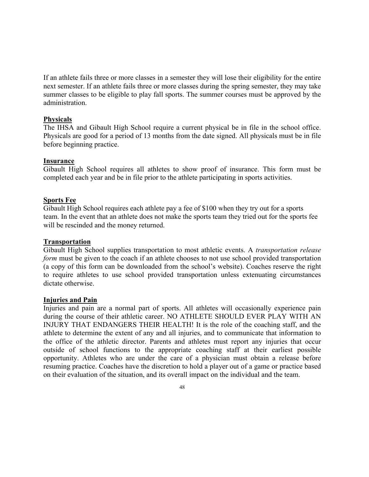If an athlete fails three or more classes in a semester they will lose their eligibility for the entire next semester. If an athlete fails three or more classes during the spring semester, they may take summer classes to be eligible to play fall sports. The summer courses must be approved by the administration.

#### **Physicals**

The IHSA and Gibault High School require a current physical be in file in the school office. Physicals are good for a period of 13 months from the date signed. All physicals must be in file before beginning practice.

#### **Insurance**

Gibault High School requires all athletes to show proof of insurance. This form must be completed each year and be in file prior to the athlete participating in sports activities.

#### **Sports Fee**

Gibault High School requires each athlete pay a fee of \$100 when they try out for a sports team. In the event that an athlete does not make the sports team they tried out for the sports fee will be rescinded and the money returned.

#### **Transportation**

Gibault High School supplies transportation to most athletic events. A *transportation release form* must be given to the coach if an athlete chooses to not use school provided transportation (a copy of this form can be downloaded from the school's website). Coaches reserve the right to require athletes to use school provided transportation unless extenuating circumstances dictate otherwise.

#### **Injuries and Pain**

Injuries and pain are a normal part of sports. All athletes will occasionally experience pain during the course of their athletic career. NO ATHLETE SHOULD EVER PLAY WITH AN INJURY THAT ENDANGERS THEIR HEALTH! It is the role of the coaching staff, and the athlete to determine the extent of any and all injuries, and to communicate that information to the office of the athletic director. Parents and athletes must report any injuries that occur outside of school functions to the appropriate coaching staff at their earliest possible opportunity. Athletes who are under the care of a physician must obtain a release before resuming practice. Coaches have the discretion to hold a player out of a game or practice based on their evaluation of the situation, and its overall impact on the individual and the team.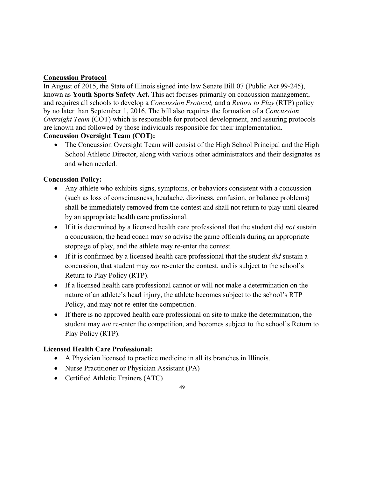## **Concussion Protocol**

In August of 2015, the State of Illinois signed into law Senate Bill 07 (Public Act 99-245), known as **Youth Sports Safety Act.** This act focuses primarily on concussion management, and requires all schools to develop a *Concussion Protocol,* and a *Return to Play* (RTP) policy by no later than September 1, 2016. The bill also requires the formation of a *Concussion Oversight Team* (COT) which is responsible for protocol development, and assuring protocols are known and followed by those individuals responsible for their implementation.

# **Concussion Oversight Team (COT):**

• The Concussion Oversight Team will consist of the High School Principal and the High School Athletic Director, along with various other administrators and their designates as and when needed.

## **Concussion Policy:**

- Any athlete who exhibits signs, symptoms, or behaviors consistent with a concussion (such as loss of consciousness, headache, dizziness, confusion, or balance problems) shall be immediately removed from the contest and shall not return to play until cleared by an appropriate health care professional.
- If it is determined by a licensed health care professional that the student did *not* sustain a concussion, the head coach may so advise the game officials during an appropriate stoppage of play, and the athlete may re-enter the contest.
- If it is confirmed by a licensed health care professional that the student *did* sustain a concussion, that student may *not* re-enter the contest, and is subject to the school's Return to Play Policy (RTP).
- If a licensed health care professional cannot or will not make a determination on the nature of an athlete's head injury, the athlete becomes subject to the school's RTP Policy, and may not re-enter the competition.
- If there is no approved health care professional on site to make the determination, the student may *not* re-enter the competition, and becomes subject to the school's Return to Play Policy (RTP).

## **Licensed Health Care Professional:**

- A Physician licensed to practice medicine in all its branches in Illinois.
- Nurse Practitioner or Physician Assistant (PA)
- Certified Athletic Trainers (ATC)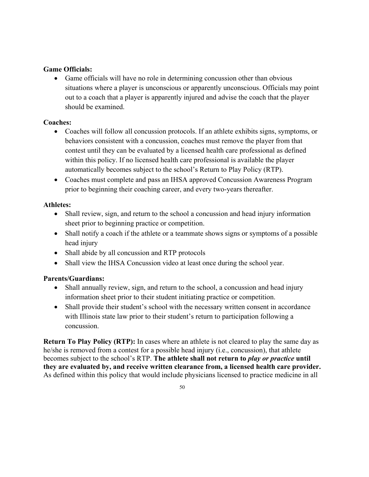## **Game Officials:**

• Game officials will have no role in determining concussion other than obvious situations where a player is unconscious or apparently unconscious. Officials may point out to a coach that a player is apparently injured and advise the coach that the player should be examined.

## **Coaches:**

- Coaches will follow all concussion protocols. If an athlete exhibits signs, symptoms, or behaviors consistent with a concussion, coaches must remove the player from that contest until they can be evaluated by a licensed health care professional as defined within this policy. If no licensed health care professional is available the player automatically becomes subject to the school's Return to Play Policy (RTP).
- Coaches must complete and pass an IHSA approved Concussion Awareness Program prior to beginning their coaching career, and every two-years thereafter.

## **Athletes:**

- Shall review, sign, and return to the school a concussion and head injury information sheet prior to beginning practice or competition.
- Shall notify a coach if the athlete or a teammate shows signs or symptoms of a possible head injury
- Shall abide by all concussion and RTP protocols
- Shall view the IHSA Concussion video at least once during the school year.

## **Parents/Guardians:**

- Shall annually review, sign, and return to the school, a concussion and head injury information sheet prior to their student initiating practice or competition.
- Shall provide their student's school with the necessary written consent in accordance with Illinois state law prior to their student's return to participation following a concussion.

**Return To Play Policy (RTP):** In cases where an athlete is not cleared to play the same day as he/she is removed from a contest for a possible head injury (i.e., concussion), that athlete becomes subject to the school's RTP. **The athlete shall not return to** *play or practice* **until they are evaluated by, and receive written clearance from, a licensed health care provider.** As defined within this policy that would include physicians licensed to practice medicine in all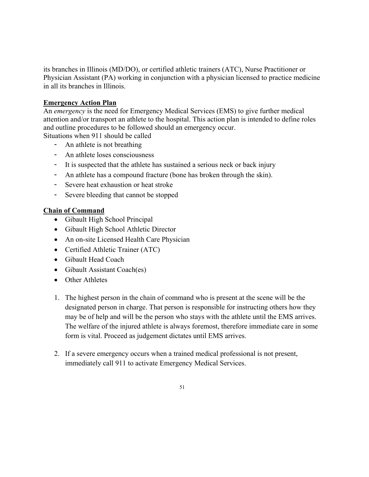its branches in Illinois (MD/DO), or certified athletic trainers (ATC), Nurse Practitioner or Physician Assistant (PA) working in conjunction with a physician licensed to practice medicine in all its branches in Illinois.

## **Emergency Action Plan**

An *emergency* is the need for Emergency Medical Services (EMS) to give further medical attention and/or transport an athlete to the hospital. This action plan is intended to define roles and outline procedures to be followed should an emergency occur. Situations when 911 should be called

- An athlete is not breathing
- An athlete loses consciousness
- It is suspected that the athlete has sustained a serious neck or back injury
- An athlete has a compound fracture (bone has broken through the skin).
- Severe heat exhaustion or heat stroke
- Severe bleeding that cannot be stopped

## **Chain of Command**

- Gibault High School Principal
- Gibault High School Athletic Director
- An on-site Licensed Health Care Physician
- Certified Athletic Trainer (ATC)
- Gibault Head Coach
- Gibault Assistant Coach(es)
- Other Athletes
- 1. The highest person in the chain of command who is present at the scene will be the designated person in charge. That person is responsible for instructing others how they may be of help and will be the person who stays with the athlete until the EMS arrives. The welfare of the injured athlete is always foremost, therefore immediate care in some form is vital. Proceed as judgement dictates until EMS arrives.
- 2. If a severe emergency occurs when a trained medical professional is not present, immediately call 911 to activate Emergency Medical Services.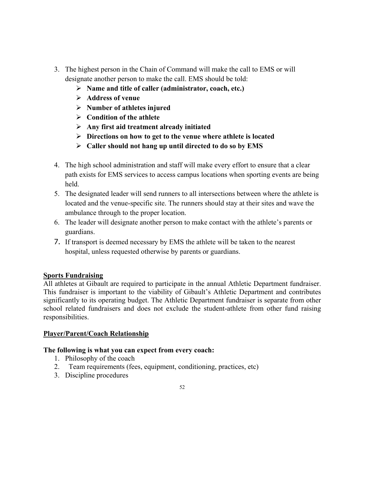- 3. The highest person in the Chain of Command will make the call to EMS or will designate another person to make the call. EMS should be told:
	- **Name and title of caller (administrator, coach, etc.)**
	- **Address of venue**
	- **Number of athletes injured**
	- **Condition of the athlete**
	- **Any first aid treatment already initiated**
	- **Directions on how to get to the venue where athlete is located**
	- **Caller should not hang up until directed to do so by EMS**
- 4. The high school administration and staff will make every effort to ensure that a clear path exists for EMS services to access campus locations when sporting events are being held.
- 5. The designated leader will send runners to all intersections between where the athlete is located and the venue-specific site. The runners should stay at their sites and wave the ambulance through to the proper location.
- 6. The leader will designate another person to make contact with the athlete's parents or guardians.
- 7. If transport is deemed necessary by EMS the athlete will be taken to the nearest hospital, unless requested otherwise by parents or guardians.

## **Sports Fundraising**

All athletes at Gibault are required to participate in the annual Athletic Department fundraiser. This fundraiser is important to the viability of Gibault's Athletic Department and contributes significantly to its operating budget. The Athletic Department fundraiser is separate from other school related fundraisers and does not exclude the student-athlete from other fund raising responsibilities.

## **Player/Parent/Coach Relationship**

## **The following is what you can expect from every coach:**

- 1. Philosophy of the coach
- 2. Team requirements (fees, equipment, conditioning, practices, etc)
- 3. Discipline procedures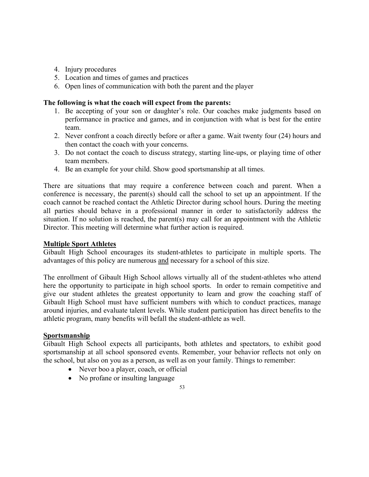- 4. Injury procedures
- 5. Location and times of games and practices
- 6. Open lines of communication with both the parent and the player

## **The following is what the coach will expect from the parents:**

- 1. Be accepting of your son or daughter's role. Our coaches make judgments based on performance in practice and games, and in conjunction with what is best for the entire team.
- 2. Never confront a coach directly before or after a game. Wait twenty four (24) hours and then contact the coach with your concerns.
- 3. Do not contact the coach to discuss strategy, starting line-ups, or playing time of other team members.
- 4. Be an example for your child. Show good sportsmanship at all times.

There are situations that may require a conference between coach and parent. When a conference is necessary, the parent(s) should call the school to set up an appointment. If the coach cannot be reached contact the Athletic Director during school hours. During the meeting all parties should behave in a professional manner in order to satisfactorily address the situation. If no solution is reached, the parent(s) may call for an appointment with the Athletic Director. This meeting will determine what further action is required.

## **Multiple Sport Athletes**

Gibault High School encourages its student-athletes to participate in multiple sports. The advantages of this policy are numerous and necessary for a school of this size.

The enrollment of Gibault High School allows virtually all of the student-athletes who attend here the opportunity to participate in high school sports. In order to remain competitive and give our student athletes the greatest opportunity to learn and grow the coaching staff of Gibault High School must have sufficient numbers with which to conduct practices, manage around injuries, and evaluate talent levels. While student participation has direct benefits to the athletic program, many benefits will befall the student-athlete as well.

## **Sportsmanship**

Gibault High School expects all participants, both athletes and spectators, to exhibit good sportsmanship at all school sponsored events. Remember, your behavior reflects not only on the school, but also on you as a person, as well as on your family. Things to remember:

- Never boo a player, coach, or official
- No profane or insulting language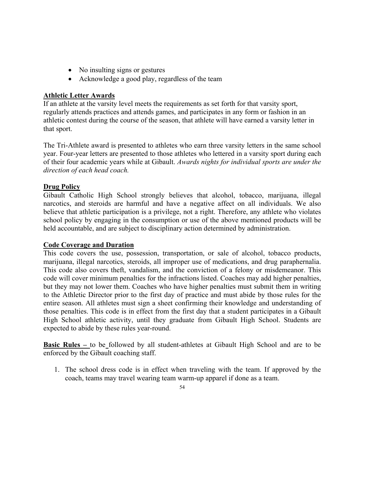- No insulting signs or gestures
- Acknowledge a good play, regardless of the team

## **Athletic Letter Awards**

If an athlete at the varsity level meets the requirements as set forth for that varsity sport, regularly attends practices and attends games, and participates in any form or fashion in an athletic contest during the course of the season, that athlete will have earned a varsity letter in that sport.

The Tri-Athlete award is presented to athletes who earn three varsity letters in the same school year. Four-year letters are presented to those athletes who lettered in a varsity sport during each of their four academic years while at Gibault. *Awards nights for individual sports are under the direction of each head coach.* 

## **Drug Policy**

Gibault Catholic High School strongly believes that alcohol, tobacco, marijuana, illegal narcotics, and steroids are harmful and have a negative affect on all individuals. We also believe that athletic participation is a privilege, not a right. Therefore, any athlete who violates school policy by engaging in the consumption or use of the above mentioned products will be held accountable, and are subject to disciplinary action determined by administration.

## **Code Coverage and Duration**

This code covers the use, possession, transportation, or sale of alcohol, tobacco products, marijuana, illegal narcotics, steroids, all improper use of medications, and drug paraphernalia. This code also covers theft, vandalism, and the conviction of a felony or misdemeanor. This code will cover minimum penalties for the infractions listed. Coaches may add higher penalties, but they may not lower them. Coaches who have higher penalties must submit them in writing to the Athletic Director prior to the first day of practice and must abide by those rules for the entire season. All athletes must sign a sheet confirming their knowledge and understanding of those penalties. This code is in effect from the first day that a student participates in a Gibault High School athletic activity, until they graduate from Gibault High School. Students are expected to abide by these rules year-round.

**Basic Rules –** to be followed by all student-athletes at Gibault High School and are to be enforced by the Gibault coaching staff.

1. The school dress code is in effect when traveling with the team. If approved by the coach, teams may travel wearing team warm-up apparel if done as a team.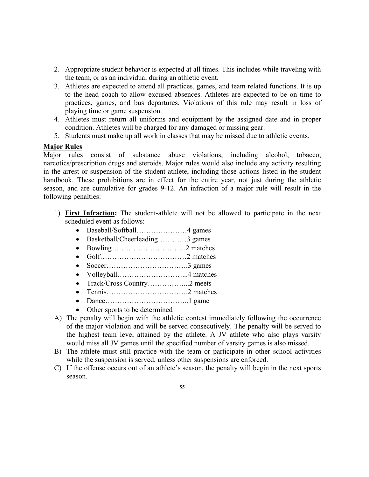- 2. Appropriate student behavior is expected at all times. This includes while traveling with the team, or as an individual during an athletic event.
- 3. Athletes are expected to attend all practices, games, and team related functions. It is up to the head coach to allow excused absences. Athletes are expected to be on time to practices, games, and bus departures. Violations of this rule may result in loss of playing time or game suspension.
- 4. Athletes must return all uniforms and equipment by the assigned date and in proper condition. Athletes will be charged for any damaged or missing gear.
- 5. Students must make up all work in classes that may be missed due to athletic events.

## **Major Rules**

Major rules consist of substance abuse violations, including alcohol, tobacco, narcotics/prescription drugs and steroids. Major rules would also include any activity resulting in the arrest or suspension of the student-athlete, including those actions listed in the student handbook. These prohibitions are in effect for the entire year, not just during the athletic season, and are cumulative for grades 9-12. An infraction of a major rule will result in the following penalties:

- 1) **First Infraction:** The student-athlete will not be allowed to participate in the next scheduled event as follows:
	- Baseball/Softball…………………4 games
	- Basketball/Cheerleading…………3 games
	- Bowling………………………….2 matches
	- Golf………………………………2 matches
	- Soccer…………………………….3 games
	- Volleyball………………………...4 matches
	- Track/Cross Country……………...2 meets
	- Tennis…………………………….2 matches
	- Dance……………………………..1 game
	- Other sports to be determined
- A) The penalty will begin with the athletic contest immediately following the occurrence of the major violation and will be served consecutively. The penalty will be served to the highest team level attained by the athlete. A JV athlete who also plays varsity would miss all JV games until the specified number of varsity games is also missed.
- B) The athlete must still practice with the team or participate in other school activities while the suspension is served, unless other suspensions are enforced.
- C) If the offense occurs out of an athlete's season, the penalty will begin in the next sports season.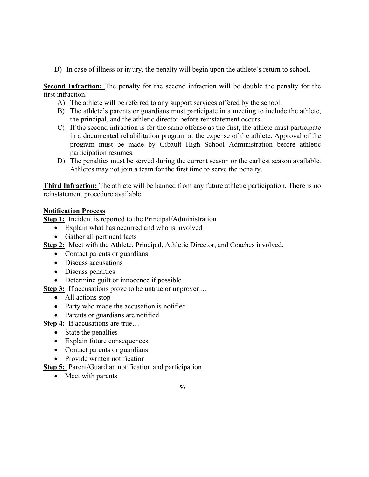D) In case of illness or injury, the penalty will begin upon the athlete's return to school.

**Second Infraction:** The penalty for the second infraction will be double the penalty for the first infraction.

- A) The athlete will be referred to any support services offered by the school.
- B) The athlete's parents or guardians must participate in a meeting to include the athlete, the principal, and the athletic director before reinstatement occurs.
- C) If the second infraction is for the same offense as the first, the athlete must participate in a documented rehabilitation program at the expense of the athlete. Approval of the program must be made by Gibault High School Administration before athletic participation resumes.
- D) The penalties must be served during the current season or the earliest season available. Athletes may not join a team for the first time to serve the penalty.

**Third Infraction:** The athlete will be banned from any future athletic participation. There is no reinstatement procedure available.

## **Notification Process**

**Step 1:** Incident is reported to the Principal/Administration

- Explain what has occurred and who is involved
- Gather all pertinent facts

**Step 2:** Meet with the Athlete, Principal, Athletic Director, and Coaches involved.

- Contact parents or guardians
- Discuss accusations
- Discuss penalties
- Determine guilt or innocence if possible

**Step 3:** If accusations prove to be untrue or unproven…

- All actions stop
- Party who made the accusation is notified
- Parents or guardians are notified

**Step 4:** If accusations are true…

- State the penalties
- Explain future consequences
- Contact parents or guardians
- Provide written notification

**Step 5:** Parent/Guardian notification and participation

• Meet with parents